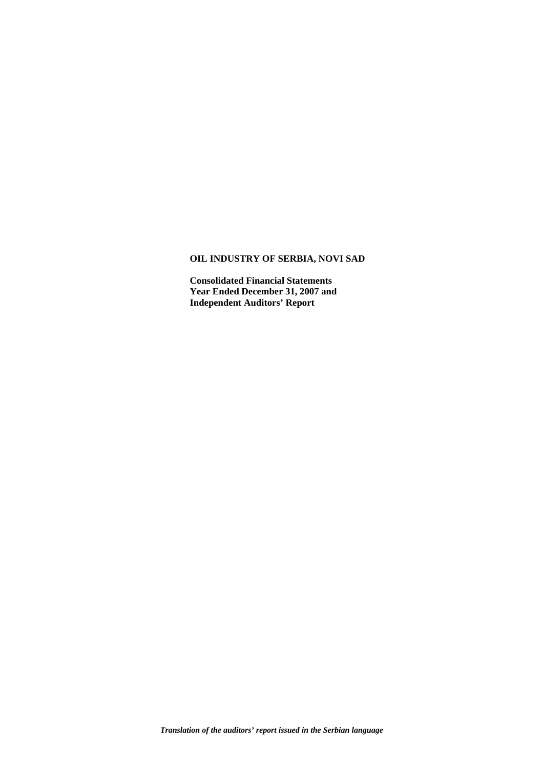# **OIL INDUSTRY OF SERBIA, NOVI SAD**

**Consolidated Financial Statements Year Ended December 31, 2007 and Independent Auditors' Report**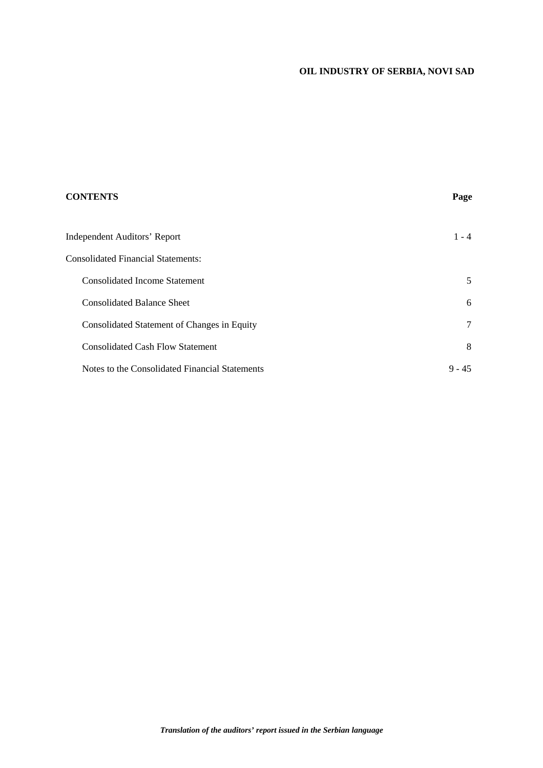# **OIL INDUSTRY OF SERBIA, NOVI SAD**

| <b>CONTENTS</b>                                | Page            |
|------------------------------------------------|-----------------|
| Independent Auditors' Report                   | $1 - 4$         |
| <b>Consolidated Financial Statements:</b>      |                 |
| <b>Consolidated Income Statement</b>           | 5               |
| <b>Consolidated Balance Sheet</b>              | 6               |
| Consolidated Statement of Changes in Equity    | $7\phantom{.0}$ |
| <b>Consolidated Cash Flow Statement</b>        | 8               |
| Notes to the Consolidated Financial Statements | $9 - 45$        |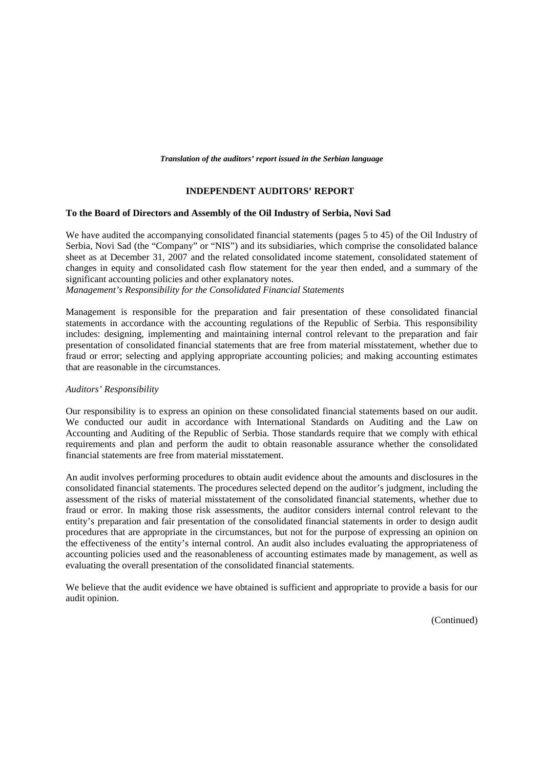#### *Translation of the auditors' report issued in the Serbian language*

### **INDEPENDENT AUDITORS' REPORT**

#### **To the Board of Directors and Assembly of the Oil Industry of Serbia, Novi Sad**

We have audited the accompanying consolidated financial statements (pages 5 to 45) of the Oil Industry of Serbia, Novi Sad (the "Company" or "NIS") and its subsidiaries, which comprise the consolidated balance sheet as at December 31, 2007 and the related consolidated income statement, consolidated statement of changes in equity and consolidated cash flow statement for the year then ended, and a summary of the significant accounting policies and other explanatory notes.

*Management's Responsibility for the Consolidated Financial Statements* 

Management is responsible for the preparation and fair presentation of these consolidated financial statements in accordance with the accounting regulations of the Republic of Serbia. This responsibility includes: designing, implementing and maintaining internal control relevant to the preparation and fair presentation of consolidated financial statements that are free from material misstatement, whether due to fraud or error; selecting and applying appropriate accounting policies; and making accounting estimates that are reasonable in the circumstances.

#### *Auditors' Responsibility*

Our responsibility is to express an opinion on these consolidated financial statements based on our audit. We conducted our audit in accordance with International Standards on Auditing and the Law on Accounting and Auditing of the Republic of Serbia. Those standards require that we comply with ethical requirements and plan and perform the audit to obtain reasonable assurance whether the consolidated financial statements are free from material misstatement.

An audit involves performing procedures to obtain audit evidence about the amounts and disclosures in the consolidated financial statements. The procedures selected depend on the auditor's judgment, including the assessment of the risks of material misstatement of the consolidated financial statements, whether due to fraud or error. In making those risk assessments, the auditor considers internal control relevant to the entity's preparation and fair presentation of the consolidated financial statements in order to design audit procedures that are appropriate in the circumstances, but not for the purpose of expressing an opinion on the effectiveness of the entity's internal control. An audit also includes evaluating the appropriateness of accounting policies used and the reasonableness of accounting estimates made by management, as well as evaluating the overall presentation of the consolidated financial statements.

We believe that the audit evidence we have obtained is sufficient and appropriate to provide a basis for our audit opinion.

(Continued)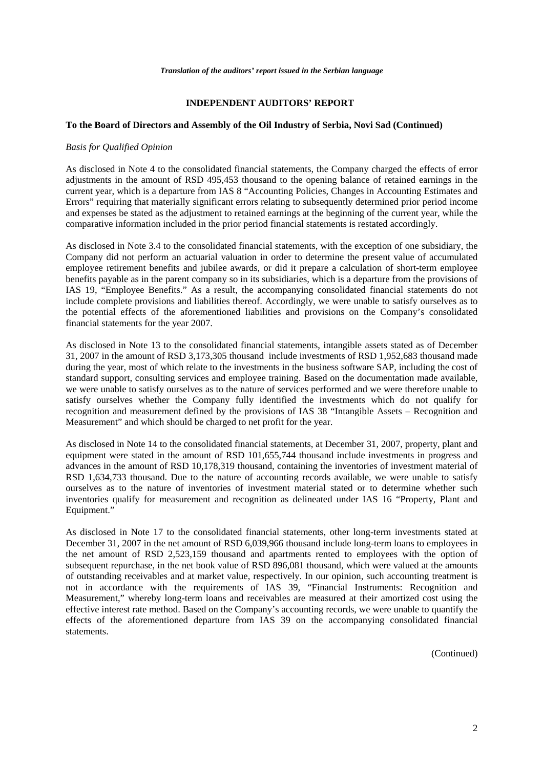#### **INDEPENDENT AUDITORS' REPORT**

#### **To the Board of Directors and Assembly of the Oil Industry of Serbia, Novi Sad (Continued)**

### *Basis for Qualified Opinion*

As disclosed in Note 4 to the consolidated financial statements, the Company charged the effects of error adjustments in the amount of RSD 495,453 thousand to the opening balance of retained earnings in the current year, which is a departure from IAS 8 "Accounting Policies, Changes in Accounting Estimates and Errors" requiring that materially significant errors relating to subsequently determined prior period income and expenses be stated as the adjustment to retained earnings at the beginning of the current year, while the comparative information included in the prior period financial statements is restated accordingly.

As disclosed in Note 3.4 to the consolidated financial statements, with the exception of one subsidiary, the Company did not perform an actuarial valuation in order to determine the present value of accumulated employee retirement benefits and jubilee awards, or did it prepare a calculation of short-term employee benefits payable as in the parent company so in its subsidiaries, which is a departure from the provisions of IAS 19, "Employee Benefits." As a result, the accompanying consolidated financial statements do not include complete provisions and liabilities thereof. Accordingly, we were unable to satisfy ourselves as to the potential effects of the aforementioned liabilities and provisions on the Company's consolidated financial statements for the year 2007.

As disclosed in Note 13 to the consolidated financial statements, intangible assets stated as of December 31, 2007 in the amount of RSD 3,173,305 thousand include investments of RSD 1,952,683 thousand made during the year, most of which relate to the investments in the business software SAP, including the cost of standard support, consulting services and employee training. Based on the documentation made available, we were unable to satisfy ourselves as to the nature of services performed and we were therefore unable to satisfy ourselves whether the Company fully identified the investments which do not qualify for recognition and measurement defined by the provisions of IAS 38 "Intangible Assets – Recognition and Measurement" and which should be charged to net profit for the year.

As disclosed in Note 14 to the consolidated financial statements, at December 31, 2007, property, plant and equipment were stated in the amount of RSD 101,655,744 thousand include investments in progress and advances in the amount of RSD 10,178,319 thousand, containing the inventories of investment material of RSD 1,634,733 thousand. Due to the nature of accounting records available, we were unable to satisfy ourselves as to the nature of inventories of investment material stated or to determine whether such inventories qualify for measurement and recognition as delineated under IAS 16 "Property, Plant and Equipment."

As disclosed in Note 17 to the consolidated financial statements, other long-term investments stated at December 31, 2007 in the net amount of RSD 6,039,966 thousand include long-term loans to employees in the net amount of RSD 2,523,159 thousand and apartments rented to employees with the option of subsequent repurchase, in the net book value of RSD 896,081 thousand, which were valued at the amounts of outstanding receivables and at market value, respectively. In our opinion, such accounting treatment is not in accordance with the requirements of IAS 39, "Financial Instruments: Recognition and Measurement," whereby long-term loans and receivables are measured at their amortized cost using the effective interest rate method. Based on the Company's accounting records, we were unable to quantify the effects of the aforementioned departure from IAS 39 on the accompanying consolidated financial statements.

(Continued)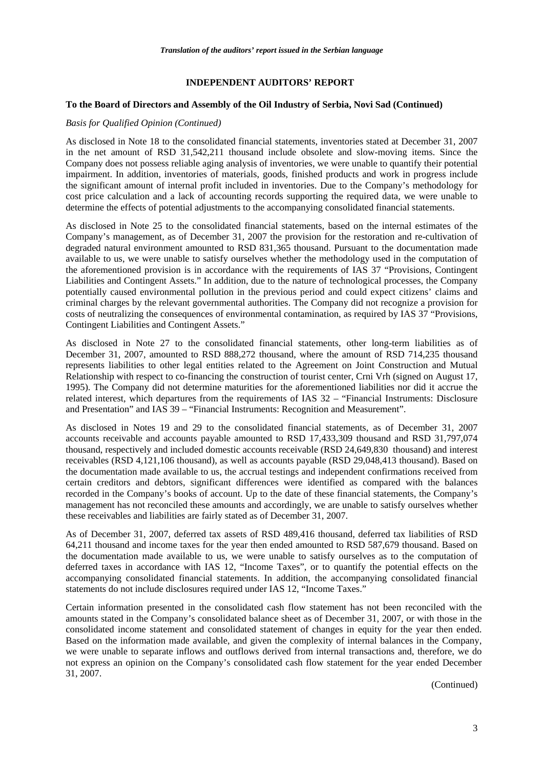### **INDEPENDENT AUDITORS' REPORT**

#### **To the Board of Directors and Assembly of the Oil Industry of Serbia, Novi Sad (Continued)**

#### *Basis for Qualified Opinion (Continued)*

As disclosed in Note 18 to the consolidated financial statements, inventories stated at December 31, 2007 in the net amount of RSD 31,542,211 thousand include obsolete and slow-moving items. Since the Company does not possess reliable aging analysis of inventories, we were unable to quantify their potential impairment. In addition, inventories of materials, goods, finished products and work in progress include the significant amount of internal profit included in inventories. Due to the Company's methodology for cost price calculation and a lack of accounting records supporting the required data, we were unable to determine the effects of potential adjustments to the accompanying consolidated financial statements.

As disclosed in Note 25 to the consolidated financial statements, based on the internal estimates of the Company's management, as of December 31, 2007 the provision for the restoration and re-cultivation of degraded natural environment amounted to RSD 831,365 thousand. Pursuant to the documentation made available to us, we were unable to satisfy ourselves whether the methodology used in the computation of the aforementioned provision is in accordance with the requirements of IAS 37 "Provisions, Contingent Liabilities and Contingent Assets." In addition, due to the nature of technological processes, the Company potentially caused environmental pollution in the previous period and could expect citizens' claims and criminal charges by the relevant governmental authorities. The Company did not recognize a provision for costs of neutralizing the consequences of environmental contamination, as required by IAS 37 "Provisions, Contingent Liabilities and Contingent Assets."

As disclosed in Note 27 to the consolidated financial statements, other long-term liabilities as of December 31, 2007, amounted to RSD 888,272 thousand, where the amount of RSD 714,235 thousand represents liabilities to other legal entities related to the Agreement on Joint Construction and Mutual Relationship with respect to co-financing the construction of tourist center, Crni Vrh (signed on August 17, 1995). The Company did not determine maturities for the aforementioned liabilities nor did it accrue the related interest, which departures from the requirements of IAS 32 – "Financial Instruments: Disclosure and Presentation" and IAS 39 – "Financial Instruments: Recognition and Measurement".

As disclosed in Notes 19 and 29 to the consolidated financial statements, as of December 31, 2007 accounts receivable and accounts payable amounted to RSD 17,433,309 thousand and RSD 31,797,074 thousand, respectively and included domestic accounts receivable (RSD 24,649,830 thousand) and interest receivables (RSD 4,121,106 thousand), as well as accounts payable (RSD 29,048,413 thousand). Based on the documentation made available to us, the accrual testings and independent confirmations received from certain creditors and debtors, significant differences were identified as compared with the balances recorded in the Company's books of account. Up to the date of these financial statements, the Company's management has not reconciled these amounts and accordingly, we are unable to satisfy ourselves whether these receivables and liabilities are fairly stated as of December 31, 2007.

As of December 31, 2007, deferred tax assets of RSD 489,416 thousand, deferred tax liabilities of RSD 64,211 thousand and income taxes for the year then ended amounted to RSD 587,679 thousand. Based on the documentation made available to us, we were unable to satisfy ourselves as to the computation of deferred taxes in accordance with IAS 12, "Income Taxes", or to quantify the potential effects on the accompanying consolidated financial statements. In addition, the accompanying consolidated financial statements do not include disclosures required under IAS 12, "Income Taxes."

Certain information presented in the consolidated cash flow statement has not been reconciled with the amounts stated in the Company's consolidated balance sheet as of December 31, 2007, or with those in the consolidated income statement and consolidated statement of changes in equity for the year then ended. Based on the information made available, and given the complexity of internal balances in the Company, we were unable to separate inflows and outflows derived from internal transactions and, therefore, we do not express an opinion on the Company's consolidated cash flow statement for the year ended December 31, 2007.

(Continued)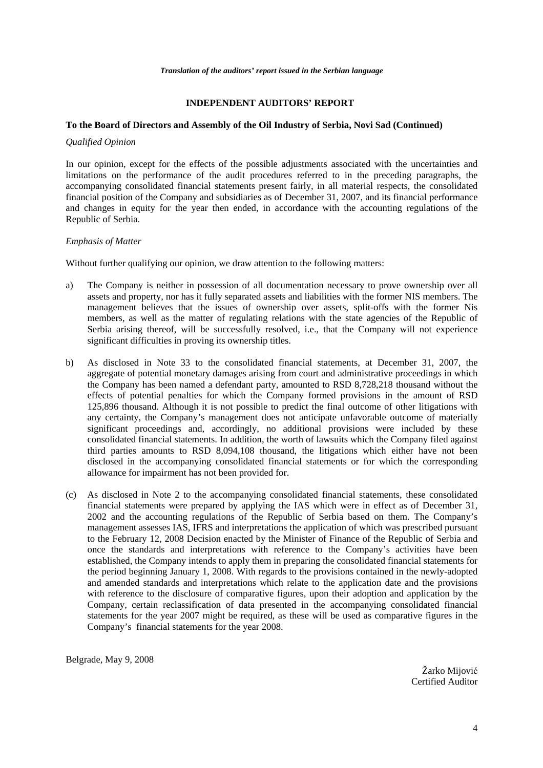## **INDEPENDENT AUDITORS' REPORT**

## **To the Board of Directors and Assembly of the Oil Industry of Serbia, Novi Sad (Continued)**

#### *Qualified Opinion*

In our opinion, except for the effects of the possible adjustments associated with the uncertainties and limitations on the performance of the audit procedures referred to in the preceding paragraphs, the accompanying consolidated financial statements present fairly, in all material respects, the consolidated financial position of the Company and subsidiaries as of December 31, 2007, and its financial performance and changes in equity for the year then ended, in accordance with the accounting regulations of the Republic of Serbia.

#### *Emphasis of Matter*

Without further qualifying our opinion, we draw attention to the following matters:

- a) The Company is neither in possession of all documentation necessary to prove ownership over all assets and property, nor has it fully separated assets and liabilities with the former NIS members. The management believes that the issues of ownership over assets, split-offs with the former Nis members, as well as the matter of regulating relations with the state agencies of the Republic of Serbia arising thereof, will be successfully resolved, i.e., that the Company will not experience significant difficulties in proving its ownership titles.
- b) As disclosed in Note 33 to the consolidated financial statements, at December 31, 2007, the aggregate of potential monetary damages arising from court and administrative proceedings in which the Company has been named a defendant party, amounted to RSD 8,728,218 thousand without the effects of potential penalties for which the Company formed provisions in the amount of RSD 125,896 thousand. Although it is not possible to predict the final outcome of other litigations with any certainty, the Company's management does not anticipate unfavorable outcome of materially significant proceedings and, accordingly, no additional provisions were included by these consolidated financial statements. In addition, the worth of lawsuits which the Company filed against third parties amounts to RSD 8,094,108 thousand, the litigations which either have not been disclosed in the accompanying consolidated financial statements or for which the corresponding allowance for impairment has not been provided for.
- (c) As disclosed in Note 2 to the accompanying consolidated financial statements, these consolidated financial statements were prepared by applying the IAS which were in effect as of December 31, 2002 and the accounting regulations of the Republic of Serbia based on them. The Company's management assesses IAS, IFRS and interpretations the application of which was prescribed pursuant to the February 12, 2008 Decision enacted by the Minister of Finance of the Republic of Serbia and once the standards and interpretations with reference to the Company's activities have been established, the Company intends to apply them in preparing the consolidated financial statements for the period beginning January 1, 2008. With regards to the provisions contained in the newly-adopted and amended standards and interpretations which relate to the application date and the provisions with reference to the disclosure of comparative figures, upon their adoption and application by the Company, certain reclassification of data presented in the accompanying consolidated financial statements for the year 2007 might be required, as these will be used as comparative figures in the Company's financial statements for the year 2008.

Belgrade, May 9, 2008

Žarko Mijović Certified Auditor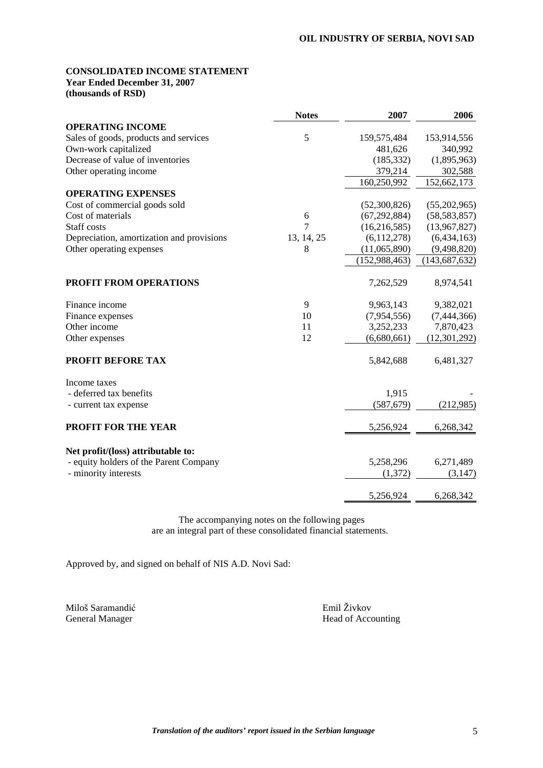## **CONSOLIDATED INCOME STATEMENT Year Ended December 31, 2007**

**(thousands of RSD)** 

|                                           | <b>Notes</b> | 2007            | 2006            |
|-------------------------------------------|--------------|-----------------|-----------------|
| <b>OPERATING INCOME</b>                   |              |                 |                 |
| Sales of goods, products and services     | 5            | 159,575,484     | 153,914,556     |
| Own-work capitalized                      |              | 481,626         | 340,992         |
| Decrease of value of inventories          |              | (185, 332)      | (1,895,963)     |
| Other operating income                    |              | 379,214         | 302,588         |
|                                           |              | 160,250,992     | 152,662,173     |
| <b>OPERATING EXPENSES</b>                 |              |                 |                 |
| Cost of commercial goods sold             |              | (52,300,826)    | (55,202,965)    |
| Cost of materials                         | 6            | (67, 292, 884)  | (58, 583, 857)  |
| Staff costs                               | 7            | (16, 216, 585)  | (13,967,827)    |
| Depreciation, amortization and provisions | 13, 14, 25   | (6,112,278)     | (6,434,163)     |
| Other operating expenses                  | 8            | (11,065,890)    | (9,498,820)     |
|                                           |              | (152, 988, 463) | (143, 687, 632) |
| <b>PROFIT FROM OPERATIONS</b>             |              | 7,262,529       | 8,974,541       |
| Finance income                            | 9            | 9,963,143       | 9,382,021       |
| Finance expenses                          | 10           | (7,954,556)     | (7,444,366)     |
| Other income                              | 11           | 3,252,233       | 7,870,423       |
| Other expenses                            | 12           | (6,680,661)     | (12, 301, 292)  |
| <b>PROFIT BEFORE TAX</b>                  |              | 5,842,688       | 6,481,327       |
| Income taxes                              |              |                 |                 |
| - deferred tax benefits                   |              | 1,915           |                 |
| - current tax expense                     |              | (587, 679)      | (212,985)       |
| PROFIT FOR THE YEAR                       |              | 5,256,924       | 6,268,342       |
| Net profit/(loss) attributable to:        |              |                 |                 |
| - equity holders of the Parent Company    |              | 5,258,296       | 6,271,489       |
| - minority interests                      |              | (1,372)         | (3, 147)        |
|                                           |              | 5,256,924       | 6,268,342       |

The accompanying notes on the following pages are an integral part of these consolidated financial statements.

Approved by, and signed on behalf of NIS A.D. Novi Sad:

Miloš Saramandić General Manager

 Emil Živkov Head of Accounting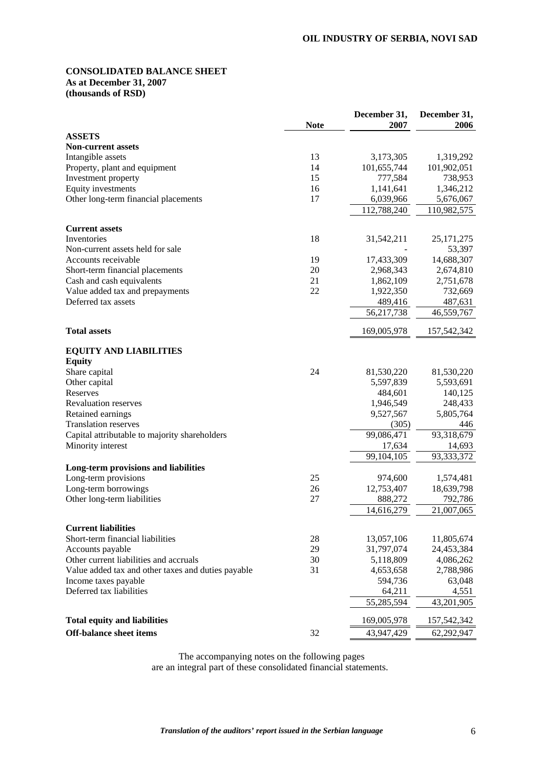## **CONSOLIDATED BALANCE SHEET As at December 31, 2007 (thousands of RSD)**

|                                                    |             | December 31, | December 31, |
|----------------------------------------------------|-------------|--------------|--------------|
|                                                    | <b>Note</b> | 2007         | 2006         |
| <b>ASSETS</b>                                      |             |              |              |
| <b>Non-current assets</b><br>Intangible assets     | 13          | 3,173,305    | 1,319,292    |
| Property, plant and equipment                      | 14          | 101,655,744  | 101,902,051  |
| Investment property                                | 15          | 777,584      | 738,953      |
| Equity investments                                 | 16          | 1,141,641    | 1,346,212    |
| Other long-term financial placements               | 17          | 6,039,966    | 5,676,067    |
|                                                    |             | 112,788,240  | 110,982,575  |
|                                                    |             |              |              |
| <b>Current assets</b>                              |             |              |              |
| Inventories                                        | 18          | 31,542,211   | 25, 171, 275 |
| Non-current assets held for sale                   |             |              | 53,397       |
| Accounts receivable                                | 19          | 17,433,309   | 14,688,307   |
| Short-term financial placements                    | 20          | 2,968,343    | 2,674,810    |
| Cash and cash equivalents                          | 21          | 1,862,109    | 2,751,678    |
| Value added tax and prepayments                    | 22          | 1,922,350    | 732,669      |
| Deferred tax assets                                |             | 489,416      | 487,631      |
|                                                    |             | 56,217,738   | 46,559,767   |
| <b>Total assets</b>                                |             | 169,005,978  | 157,542,342  |
|                                                    |             |              |              |
| <b>EQUITY AND LIABILITIES</b>                      |             |              |              |
| <b>Equity</b><br>Share capital                     | 24          | 81,530,220   | 81,530,220   |
| Other capital                                      |             | 5,597,839    | 5,593,691    |
| Reserves                                           |             | 484,601      | 140,125      |
| <b>Revaluation reserves</b>                        |             | 1,946,549    | 248,433      |
| Retained earnings                                  |             | 9,527,567    | 5,805,764    |
| <b>Translation reserves</b>                        |             | (305)        | 446          |
| Capital attributable to majority shareholders      |             | 99,086,471   | 93,318,679   |
| Minority interest                                  |             | 17,634       | 14,693       |
|                                                    |             | 99,104,105   | 93,333,372   |
| <b>Long-term provisions and liabilities</b>        |             |              |              |
| Long-term provisions                               | 25          | 974,600      | 1,574,481    |
| Long-term borrowings                               | 26          | 12,753,407   | 18,639,798   |
| Other long-term liabilities                        | 27          | 888,272      | 792,786      |
|                                                    |             | 14,616,279   | 21,007,065   |
|                                                    |             |              |              |
| <b>Current liabilities</b>                         |             |              |              |
| Short-term financial liabilities                   | 28          | 13,057,106   | 11,805,674   |
| Accounts payable                                   | 29          | 31,797,074   | 24,453,384   |
| Other current liabilities and accruals             | 30          | 5,118,809    | 4,086,262    |
| Value added tax and other taxes and duties payable | 31          | 4,653,658    | 2,788,986    |
| Income taxes payable                               |             | 594,736      | 63,048       |
| Deferred tax liabilities                           |             | 64,211       | 4,551        |
|                                                    |             | 55,285,594   | 43,201,905   |
| <b>Total equity and liabilities</b>                |             | 169,005,978  | 157,542,342  |
| <b>Off-balance sheet items</b>                     | 32          | 43,947,429   | 62,292,947   |
|                                                    |             |              |              |

The accompanying notes on the following pages are an integral part of these consolidated financial statements.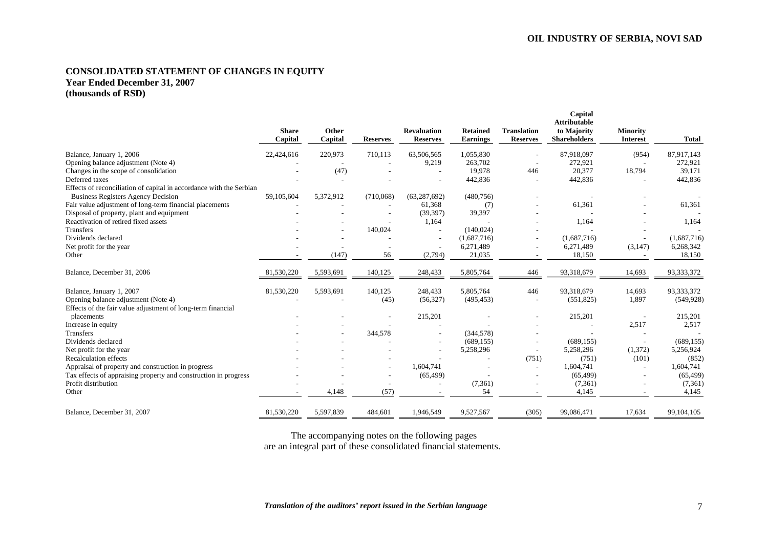## **CONSOLIDATED STATEMENT OF CHANGES IN EQUITY Year Ended December 31, 2007 (thousands of RSD)**

|                                                                     | <b>Share</b><br>Capital | Other<br>Capital | <b>Reserves</b> | <b>Revaluation</b><br><b>Reserves</b> | <b>Retained</b><br><b>Earnings</b> | <b>Translation</b><br><b>Reserves</b> | Capital<br><b>Attributable</b><br>to Majority<br><b>Shareholders</b> | <b>Minority</b><br><b>Interest</b> | <b>Total</b> |
|---------------------------------------------------------------------|-------------------------|------------------|-----------------|---------------------------------------|------------------------------------|---------------------------------------|----------------------------------------------------------------------|------------------------------------|--------------|
| Balance, January 1, 2006                                            | 22,424,616              | 220,973          | 710,113         | 63,506,565                            | 1,055,830                          |                                       | 87,918,097                                                           | (954)                              | 87,917,143   |
| Opening balance adjustment (Note 4)                                 |                         |                  |                 | 9,219                                 | 263,702                            |                                       | 272,921                                                              |                                    | 272,921      |
| Changes in the scope of consolidation                               |                         | (47)             |                 |                                       | 19,978                             | 446                                   | 20,377                                                               | 18,794                             | 39,171       |
| Deferred taxes                                                      |                         |                  |                 |                                       | 442,836                            |                                       | 442,836                                                              |                                    | 442,836      |
| Effects of reconciliation of capital in accordance with the Serbian |                         |                  |                 |                                       |                                    |                                       |                                                                      |                                    |              |
| <b>Business Registers Agency Decision</b>                           | 59,105,604              | 5,372,912        | (710,068)       | (63, 287, 692)                        | (480, 756)                         |                                       |                                                                      |                                    |              |
| Fair value adjustment of long-term financial placements             |                         |                  |                 | 61,368                                | (7)                                |                                       | 61,361                                                               |                                    | 61,361       |
| Disposal of property, plant and equipment                           |                         |                  |                 | (39, 397)                             | 39,397                             |                                       |                                                                      |                                    |              |
| Reactivation of retired fixed assets                                |                         |                  |                 | 1,164                                 |                                    |                                       | 1,164                                                                |                                    | 1,164        |
| <b>Transfers</b>                                                    |                         |                  | 140,024         |                                       | (140, 024)                         |                                       |                                                                      |                                    |              |
| Dividends declared                                                  |                         |                  |                 |                                       | (1,687,716)                        |                                       | (1,687,716)                                                          |                                    | (1,687,716)  |
| Net profit for the year                                             |                         |                  |                 |                                       | 6,271,489                          |                                       | 6,271,489                                                            | (3, 147)                           | 6,268,342    |
| Other                                                               |                         | (147)            | 56              | (2,794)                               | 21,035                             |                                       | 18,150                                                               |                                    | 18,150       |
| Balance, December 31, 2006                                          | 81,530,220              | 5,593,691        | 140,125         | 248,433                               | 5,805,764                          | 446                                   | 93,318,679                                                           | 14,693                             | 93,333,372   |
| Balance, January 1, 2007                                            | 81,530,220              | 5,593,691        | 140,125         | 248,433                               | 5,805,764                          | 446                                   | 93,318,679                                                           | 14,693                             | 93,333,372   |
| Opening balance adjustment (Note 4)                                 |                         |                  | (45)            | (56, 327)                             | (495, 453)                         |                                       | (551, 825)                                                           | 1,897                              | (549, 928)   |
| Effects of the fair value adjustment of long-term financial         |                         |                  |                 |                                       |                                    |                                       |                                                                      |                                    |              |
| placements                                                          |                         |                  |                 | 215,201                               |                                    |                                       | 215,201                                                              |                                    | 215,201      |
| Increase in equity                                                  |                         |                  |                 |                                       |                                    |                                       |                                                                      | 2,517                              | 2,517        |
| <b>Transfers</b>                                                    |                         |                  | 344,578         |                                       | (344, 578)                         |                                       |                                                                      |                                    |              |
| Dividends declared                                                  |                         |                  |                 |                                       | (689, 155)                         |                                       | (689, 155)                                                           |                                    | (689, 155)   |
| Net profit for the year                                             |                         |                  |                 |                                       | 5,258,296                          | $\overline{\phantom{a}}$              | 5,258,296                                                            | (1,372)                            | 5,256,924    |
| <b>Recalculation effects</b>                                        |                         |                  |                 |                                       |                                    | (751)                                 | (751)                                                                | (101)                              | (852)        |
| Appraisal of property and construction in progress                  |                         |                  |                 | 1,604,741                             |                                    | $\sim$                                | 1,604,741                                                            |                                    | 1,604,741    |
| Tax effects of appraising property and construction in progress     |                         |                  |                 | (65, 499)                             |                                    |                                       | (65, 499)                                                            |                                    | (65, 499)    |
| Profit distribution                                                 |                         |                  |                 |                                       | (7,361)                            |                                       | (7,361)                                                              |                                    | (7,361)      |
| Other                                                               |                         | 4,148            | (57)            |                                       | 54                                 |                                       | 4,145                                                                |                                    | 4,145        |
| Balance, December 31, 2007                                          | 81,530,220              | 5,597,839        | 484,601         | 1,946,549                             | 9,527,567                          | (305)                                 | 99,086,471                                                           | 17,634                             | 99,104,105   |

The accompanying notes on the following pages are an integral part of these consolidated financial statements.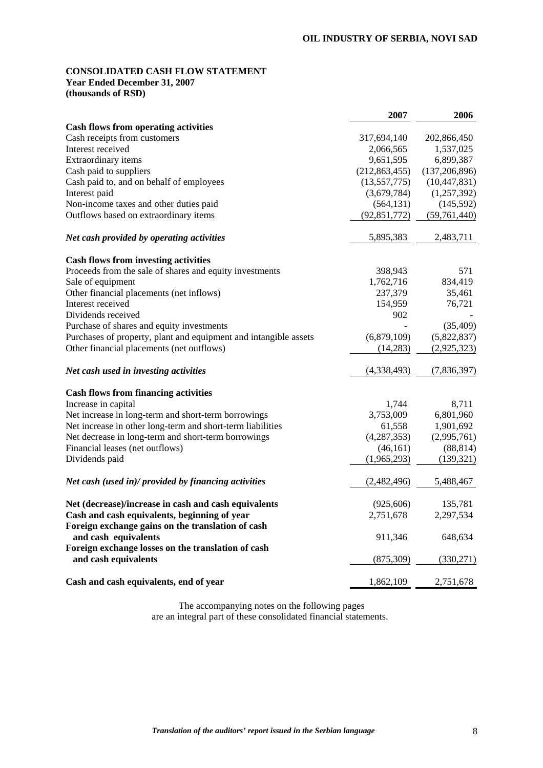## **CONSOLIDATED CASH FLOW STATEMENT Year Ended December 31, 2007**

**(thousands of RSD)** 

|                                                                  | 2007            | 2006            |
|------------------------------------------------------------------|-----------------|-----------------|
| <b>Cash flows from operating activities</b>                      |                 |                 |
| Cash receipts from customers                                     | 317,694,140     | 202,866,450     |
| Interest received                                                | 2,066,565       | 1,537,025       |
| Extraordinary items                                              | 9,651,595       | 6,899,387       |
| Cash paid to suppliers                                           | (212, 863, 455) | (137, 206, 896) |
| Cash paid to, and on behalf of employees                         | (13,557,775)    | (10, 447, 831)  |
| Interest paid                                                    | (3,679,784)     | (1,257,392)     |
| Non-income taxes and other duties paid                           | (564, 131)      | (145, 592)      |
| Outflows based on extraordinary items                            | (92, 851, 772)  | (59, 761, 440)  |
| Net cash provided by operating activities                        | 5,895,383       | 2,483,711       |
| <b>Cash flows from investing activities</b>                      |                 |                 |
| Proceeds from the sale of shares and equity investments          | 398,943         | 571             |
| Sale of equipment                                                | 1,762,716       | 834,419         |
| Other financial placements (net inflows)                         | 237,379         | 35,461          |
| Interest received                                                | 154,959         | 76,721          |
| Dividends received                                               | 902             |                 |
| Purchase of shares and equity investments                        |                 | (35, 409)       |
| Purchases of property, plant and equipment and intangible assets | (6,879,109)     | (5,822,837)     |
| Other financial placements (net outflows)                        | (14,283)        | (2,925,323)     |
| Net cash used in investing activities                            | (4,338,493)     | (7,836,397)     |
| <b>Cash flows from financing activities</b>                      |                 |                 |
| Increase in capital                                              | 1,744           | 8,711           |
| Net increase in long-term and short-term borrowings              | 3,753,009       | 6,801,960       |
| Net increase in other long-term and short-term liabilities       | 61,558          | 1,901,692       |
| Net decrease in long-term and short-term borrowings              | (4,287,353)     | (2,995,761)     |
| Financial leases (net outflows)                                  | (46, 161)       | (88, 814)       |
| Dividends paid                                                   | (1,965,293)     | (139, 321)      |
| Net cash (used in)/ provided by financing activities             | (2,482,496)     | 5,488,467       |
| Net (decrease)/increase in cash and cash equivalents             | (925, 606)      | 135,781         |
| Cash and cash equivalents, beginning of year                     | 2,751,678       | 2,297,534       |
| Foreign exchange gains on the translation of cash                |                 |                 |
| and cash equivalents                                             | 911,346         | 648,634         |
| Foreign exchange losses on the translation of cash               |                 |                 |
| and cash equivalents                                             | (875, 309)      | (330, 271)      |
| Cash and cash equivalents, end of year                           | 1,862,109       | 2,751,678       |

The accompanying notes on the following pages are an integral part of these consolidated financial statements.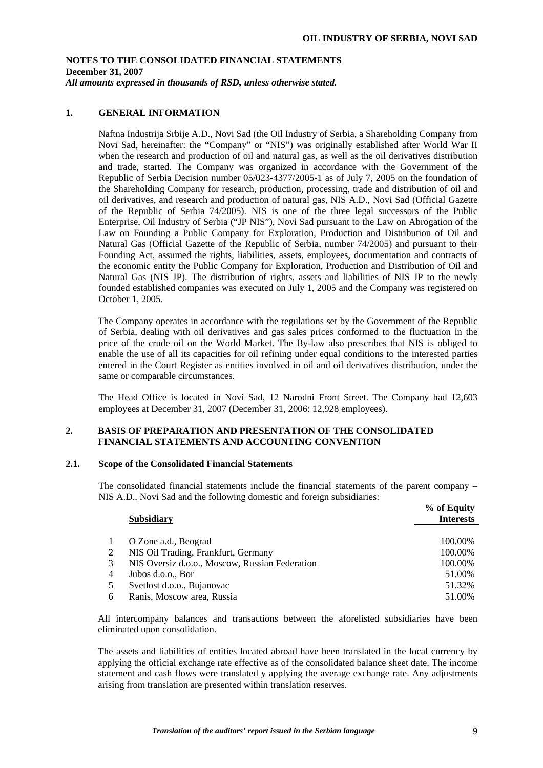## **1. GENERAL INFORMATION**

 Naftna Industrija Srbije A.D., Novi Sad (the Oil Industry of Serbia, a Shareholding Company from Novi Sad, hereinafter: the **"**Company" or "NIS") was originally established after World War II when the research and production of oil and natural gas, as well as the oil derivatives distribution and trade, started. The Company was organized in accordance with the Government of the Republic of Serbia Decision number 05/023-4377/2005-1 as of July 7, 2005 on the foundation of the Shareholding Company for research, production, processing, trade and distribution of oil and oil derivatives, and research and production of natural gas, NIS A.D., Novi Sad (Official Gazette of the Republic of Serbia 74/2005). NIS is one of the three legal successors of the Public Enterprise, Oil Industry of Serbia ("JP NIS"), Novi Sad pursuant to the Law on Abrogation of the Law on Founding a Public Company for Exploration, Production and Distribution of Oil and Natural Gas (Official Gazette of the Republic of Serbia, number 74/2005) and pursuant to their Founding Act, assumed the rights, liabilities, assets, employees, documentation and contracts of the economic entity the Public Company for Exploration, Production and Distribution of Oil and Natural Gas (NIS JP). The distribution of rights, assets and liabilities of NIS JP to the newly founded established companies was executed on July 1, 2005 and the Company was registered on October 1, 2005.

The Company operates in accordance with the regulations set by the Government of the Republic of Serbia, dealing with oil derivatives and gas sales prices conformed to the fluctuation in the price of the crude oil on the World Market. The By-law also prescribes that NIS is obliged to enable the use of all its capacities for oil refining under equal conditions to the interested parties entered in the Court Register as entities involved in oil and oil derivatives distribution, under the same or comparable circumstances.

 The Head Office is located in Novi Sad, 12 Narodni Front Street. The Company had 12,603 employees at December 31, 2007 (December 31, 2006: 12,928 employees).

## **2. BASIS OF PREPARATION AND PRESENTATION OF THE CONSOLIDATED FINANCIAL STATEMENTS AND ACCOUNTING CONVENTION**

## **2.1. Scope of the Consolidated Financial Statements**

The consolidated financial statements include the financial statements of the parent company – NIS A.D., Novi Sad and the following domestic and foreign subsidiaries:  $\omega$  of  $\omega$ 

|                | <b>Subsidiary</b>                              | 70 OL EQUILY<br><b>Interests</b> |
|----------------|------------------------------------------------|----------------------------------|
|                |                                                |                                  |
|                | O Zone a.d., Beograd                           | 100.00%                          |
| 2              | NIS Oil Trading, Frankfurt, Germany            | 100.00%                          |
| 3              | NIS Oversiz d.o.o., Moscow, Russian Federation | 100.00%                          |
| $\overline{4}$ | Jubos d.o.o., Bor                              | 51.00%                           |
| 5              | Svetlost d.o.o., Bujanovac                     | 51.32%                           |
| 6              | Ranis, Moscow area, Russia                     | 51.00%                           |

All intercompany balances and transactions between the aforelisted subsidiaries have been eliminated upon consolidation.

The assets and liabilities of entities located abroad have been translated in the local currency by applying the official exchange rate effective as of the consolidated balance sheet date. The income statement and cash flows were translated y applying the average exchange rate. Any adjustments arising from translation are presented within translation reserves.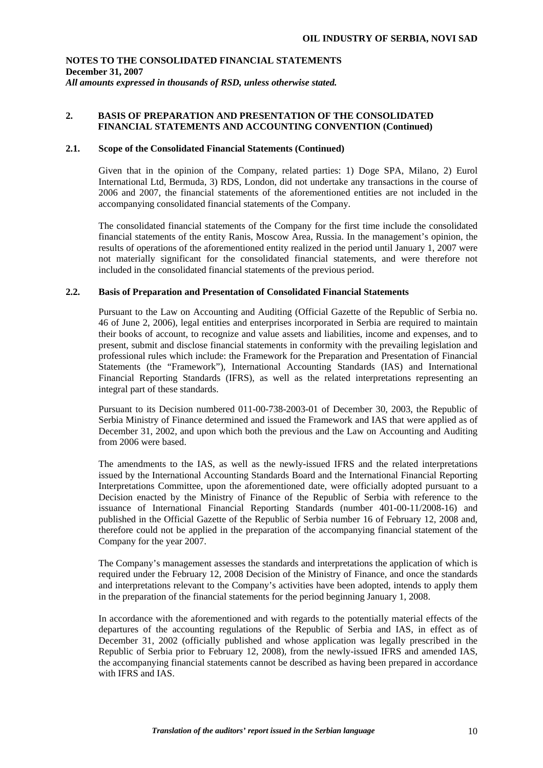## **2. BASIS OF PREPARATION AND PRESENTATION OF THE CONSOLIDATED FINANCIAL STATEMENTS AND ACCOUNTING CONVENTION (Continued)**

## **2.1. Scope of the Consolidated Financial Statements (Continued)**

Given that in the opinion of the Company, related parties: 1) Doge SPA, Milano, 2) Eurol International Ltd, Bermuda, 3) RDS, London, did not undertake any transactions in the course of 2006 and 2007, the financial statements of the aforementioned entities are not included in the accompanying consolidated financial statements of the Company.

The consolidated financial statements of the Company for the first time include the consolidated financial statements of the entity Ranis, Moscow Area, Russia. In the management's opinion, the results of operations of the aforementioned entity realized in the period until January 1, 2007 were not materially significant for the consolidated financial statements, and were therefore not included in the consolidated financial statements of the previous period.

## **2.2. Basis of Preparation and Presentation of Consolidated Financial Statements**

Pursuant to the Law on Accounting and Auditing (Official Gazette of the Republic of Serbia no. 46 of June 2, 2006), legal entities and enterprises incorporated in Serbia are required to maintain their books of account, to recognize and value assets and liabilities, income and expenses, and to present, submit and disclose financial statements in conformity with the prevailing legislation and professional rules which include: the Framework for the Preparation and Presentation of Financial Statements (the "Framework"), International Accounting Standards (IAS) and International Financial Reporting Standards (IFRS), as well as the related interpretations representing an integral part of these standards.

Pursuant to its Decision numbered 011-00-738-2003-01 of December 30, 2003, the Republic of Serbia Ministry of Finance determined and issued the Framework and IAS that were applied as of December 31, 2002, and upon which both the previous and the Law on Accounting and Auditing from 2006 were based.

The amendments to the IAS, as well as the newly-issued IFRS and the related interpretations issued by the International Accounting Standards Board and the International Financial Reporting Interpretations Committee, upon the aforementioned date, were officially adopted pursuant to a Decision enacted by the Ministry of Finance of the Republic of Serbia with reference to the issuance of International Financial Reporting Standards (number 401-00-11/2008-16) and published in the Official Gazette of the Republic of Serbia number 16 of February 12, 2008 and, therefore could not be applied in the preparation of the accompanying financial statement of the Company for the year 2007.

The Company's management assesses the standards and interpretations the application of which is required under the February 12, 2008 Decision of the Ministry of Finance, and once the standards and interpretations relevant to the Company's activities have been adopted, intends to apply them in the preparation of the financial statements for the period beginning January 1, 2008.

In accordance with the aforementioned and with regards to the potentially material effects of the departures of the accounting regulations of the Republic of Serbia and IAS, in effect as of December 31, 2002 (officially published and whose application was legally prescribed in the Republic of Serbia prior to February 12, 2008), from the newly-issued IFRS and amended IAS, the accompanying financial statements cannot be described as having been prepared in accordance with IFRS and IAS.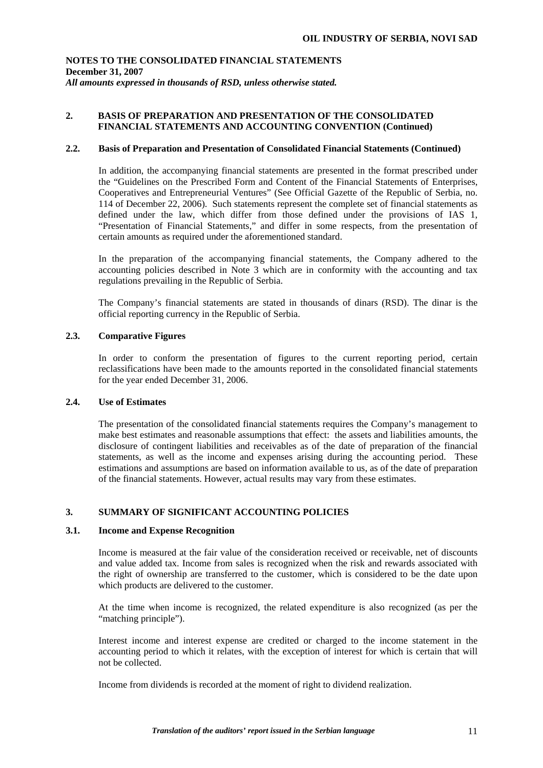## **2. BASIS OF PREPARATION AND PRESENTATION OF THE CONSOLIDATED FINANCIAL STATEMENTS AND ACCOUNTING CONVENTION (Continued)**

## **2.2. Basis of Preparation and Presentation of Consolidated Financial Statements (Continued)**

In addition, the accompanying financial statements are presented in the format prescribed under the "Guidelines on the Prescribed Form and Content of the Financial Statements of Enterprises, Cooperatives and Entrepreneurial Ventures" (See Official Gazette of the Republic of Serbia, no. 114 of December 22, 2006). Such statements represent the complete set of financial statements as defined under the law, which differ from those defined under the provisions of IAS 1, "Presentation of Financial Statements," and differ in some respects, from the presentation of certain amounts as required under the aforementioned standard.

In the preparation of the accompanying financial statements, the Company adhered to the accounting policies described in Note 3 which are in conformity with the accounting and tax regulations prevailing in the Republic of Serbia.

The Company's financial statements are stated in thousands of dinars (RSD). The dinar is the official reporting currency in the Republic of Serbia.

## **2.3. Comparative Figures**

In order to conform the presentation of figures to the current reporting period, certain reclassifications have been made to the amounts reported in the consolidated financial statements for the year ended December 31, 2006.

### **2.4. Use of Estimates**

The presentation of the consolidated financial statements requires the Company's management to make best estimates and reasonable assumptions that effect: the assets and liabilities amounts, the disclosure of contingent liabilities and receivables as of the date of preparation of the financial statements, as well as the income and expenses arising during the accounting period. These estimations and assumptions are based on information available to us, as of the date of preparation of the financial statements. However, actual results may vary from these estimates.

## **3. SUMMARY OF SIGNIFICANT ACCOUNTING POLICIES**

## **3.1. Income and Expense Recognition**

Income is measured at the fair value of the consideration received or receivable, net of discounts and value added tax. Income from sales is recognized when the risk and rewards associated with the right of ownership are transferred to the customer, which is considered to be the date upon which products are delivered to the customer.

At the time when income is recognized, the related expenditure is also recognized (as per the "matching principle").

Interest income and interest expense are credited or charged to the income statement in the accounting period to which it relates, with the exception of interest for which is certain that will not be collected.

Income from dividends is recorded at the moment of right to dividend realization.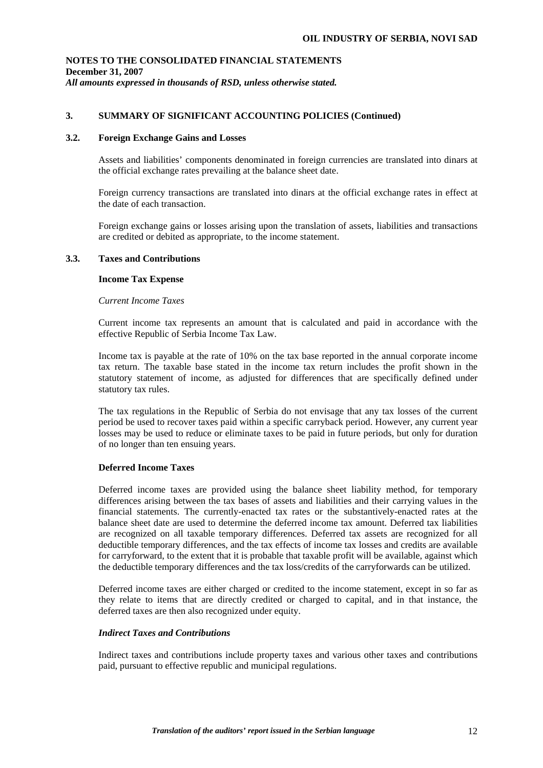## **3. SUMMARY OF SIGNIFICANT ACCOUNTING POLICIES (Continued)**

### **3.2. Foreign Exchange Gains and Losses**

Assets and liabilities' components denominated in foreign currencies are translated into dinars at the official exchange rates prevailing at the balance sheet date.

Foreign currency transactions are translated into dinars at the official exchange rates in effect at the date of each transaction.

Foreign exchange gains or losses arising upon the translation of assets, liabilities and transactions are credited or debited as appropriate, to the income statement.

### **3.3. Taxes and Contributions**

### **Income Tax Expense**

#### *Current Income Taxes*

Current income tax represents an amount that is calculated and paid in accordance with the effective Republic of Serbia Income Tax Law.

Income tax is payable at the rate of 10% on the tax base reported in the annual corporate income tax return. The taxable base stated in the income tax return includes the profit shown in the statutory statement of income, as adjusted for differences that are specifically defined under statutory tax rules.

The tax regulations in the Republic of Serbia do not envisage that any tax losses of the current period be used to recover taxes paid within a specific carryback period. However, any current year losses may be used to reduce or eliminate taxes to be paid in future periods, but only for duration of no longer than ten ensuing years.

### **Deferred Income Taxes**

Deferred income taxes are provided using the balance sheet liability method, for temporary differences arising between the tax bases of assets and liabilities and their carrying values in the financial statements. The currently-enacted tax rates or the substantively-enacted rates at the balance sheet date are used to determine the deferred income tax amount. Deferred tax liabilities are recognized on all taxable temporary differences. Deferred tax assets are recognized for all deductible temporary differences, and the tax effects of income tax losses and credits are available for carryforward, to the extent that it is probable that taxable profit will be available, against which the deductible temporary differences and the tax loss/credits of the carryforwards can be utilized.

Deferred income taxes are either charged or credited to the income statement, except in so far as they relate to items that are directly credited or charged to capital, and in that instance, the deferred taxes are then also recognized under equity.

## *Indirect Taxes and Contributions*

Indirect taxes and contributions include property taxes and various other taxes and contributions paid, pursuant to effective republic and municipal regulations.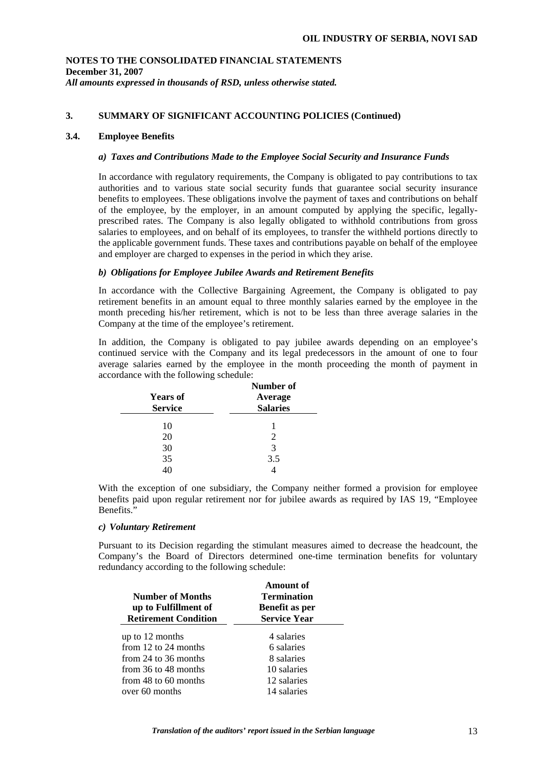## **3. SUMMARY OF SIGNIFICANT ACCOUNTING POLICIES (Continued)**

### **3.4. Employee Benefits**

### *a) Taxes and Contributions Made to the Employee Social Security and Insurance Funds*

In accordance with regulatory requirements, the Company is obligated to pay contributions to tax authorities and to various state social security funds that guarantee social security insurance benefits to employees. These obligations involve the payment of taxes and contributions on behalf of the employee, by the employer, in an amount computed by applying the specific, legallyprescribed rates. The Company is also legally obligated to withhold contributions from gross salaries to employees, and on behalf of its employees, to transfer the withheld portions directly to the applicable government funds. These taxes and contributions payable on behalf of the employee and employer are charged to expenses in the period in which they arise.

### *b) Obligations for Employee Jubilee Awards and Retirement Benefits*

In accordance with the Collective Bargaining Agreement, the Company is obligated to pay retirement benefits in an amount equal to three monthly salaries earned by the employee in the month preceding his/her retirement, which is not to be less than three average salaries in the Company at the time of the employee's retirement.

In addition, the Company is obligated to pay jubilee awards depending on an employee's continued service with the Company and its legal predecessors in the amount of one to four average salaries earned by the employee in the month proceeding the month of payment in accordance with the following schedule:

| <b>Years of</b><br><b>Service</b> | Number of<br>Average<br><b>Salaries</b> |
|-----------------------------------|-----------------------------------------|
| 10                                |                                         |
| 20                                | 2                                       |
| 30                                | 3                                       |
| 35                                | 3.5                                     |
|                                   |                                         |

With the exception of one subsidiary, the Company neither formed a provision for employee benefits paid upon regular retirement nor for jubilee awards as required by IAS 19, "Employee Benefits."

### *c) Voluntary Retirement*

Pursuant to its Decision regarding the stimulant measures aimed to decrease the headcount, the Company's the Board of Directors determined one-time termination benefits for voluntary redundancy according to the following schedule:

| <b>Number of Months</b><br>up to Fulfillment of<br><b>Retirement Condition</b> | Amount of<br><b>Termination</b><br>Benefit as per<br><b>Service Year</b> |
|--------------------------------------------------------------------------------|--------------------------------------------------------------------------|
| up to 12 months                                                                | 4 salaries                                                               |
| from 12 to 24 months                                                           | 6 salaries                                                               |
| from 24 to 36 months                                                           | 8 salaries                                                               |
| from 36 to 48 months                                                           | 10 salaries                                                              |
| from 48 to 60 months                                                           | 12 salaries                                                              |
| over 60 months                                                                 | 14 salaries                                                              |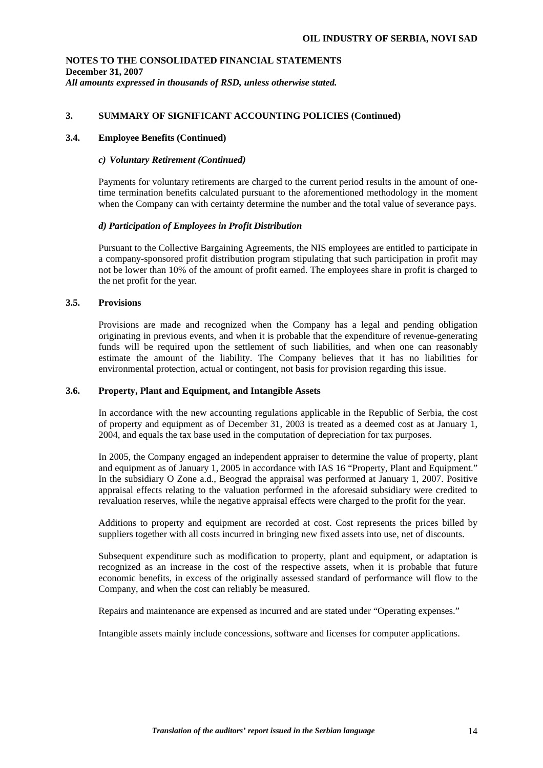## **3. SUMMARY OF SIGNIFICANT ACCOUNTING POLICIES (Continued)**

## **3.4. Employee Benefits (Continued)**

### *c) Voluntary Retirement (Continued)*

Payments for voluntary retirements are charged to the current period results in the amount of onetime termination benefits calculated pursuant to the aforementioned methodology in the moment when the Company can with certainty determine the number and the total value of severance pays.

### *d) Participation of Employees in Profit Distribution*

Pursuant to the Collective Bargaining Agreements, the NIS employees are entitled to participate in a company-sponsored profit distribution program stipulating that such participation in profit may not be lower than 10% of the amount of profit earned. The employees share in profit is charged to the net profit for the year.

### **3.5. Provisions**

Provisions are made and recognized when the Company has a legal and pending obligation originating in previous events, and when it is probable that the expenditure of revenue-generating funds will be required upon the settlement of such liabilities, and when one can reasonably estimate the amount of the liability. The Company believes that it has no liabilities for environmental protection, actual or contingent, not basis for provision regarding this issue.

### **3.6. Property, Plant and Equipment, and Intangible Assets**

In accordance with the new accounting regulations applicable in the Republic of Serbia, the cost of property and equipment as of December 31, 2003 is treated as a deemed cost as at January 1, 2004, and equals the tax base used in the computation of depreciation for tax purposes.

In 2005, the Company engaged an independent appraiser to determine the value of property, plant and equipment as of January 1, 2005 in accordance with IAS 16 "Property, Plant and Equipment." In the subsidiary O Zone a.d., Beograd the appraisal was performed at January 1, 2007. Positive appraisal effects relating to the valuation performed in the aforesaid subsidiary were credited to revaluation reserves, while the negative appraisal effects were charged to the profit for the year.

Additions to property and equipment are recorded at cost. Cost represents the prices billed by suppliers together with all costs incurred in bringing new fixed assets into use, net of discounts.

Subsequent expenditure such as modification to property, plant and equipment, or adaptation is recognized as an increase in the cost of the respective assets, when it is probable that future economic benefits, in excess of the originally assessed standard of performance will flow to the Company, and when the cost can reliably be measured.

Repairs and maintenance are expensed as incurred and are stated under "Operating expenses."

Intangible assets mainly include concessions, software and licenses for computer applications.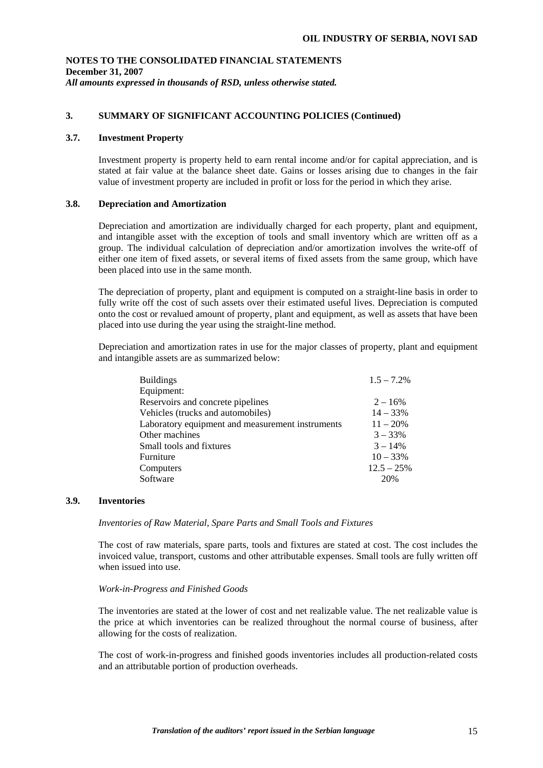## **3. SUMMARY OF SIGNIFICANT ACCOUNTING POLICIES (Continued)**

## **3.7. Investment Property**

Investment property is property held to earn rental income and/or for capital appreciation, and is stated at fair value at the balance sheet date. Gains or losses arising due to changes in the fair value of investment property are included in profit or loss for the period in which they arise.

### **3.8. Depreciation and Amortization**

Depreciation and amortization are individually charged for each property, plant and equipment, and intangible asset with the exception of tools and small inventory which are written off as a group. The individual calculation of depreciation and/or amortization involves the write-off of either one item of fixed assets, or several items of fixed assets from the same group, which have been placed into use in the same month.

The depreciation of property, plant and equipment is computed on a straight-line basis in order to fully write off the cost of such assets over their estimated useful lives. Depreciation is computed onto the cost or revalued amount of property, plant and equipment, as well as assets that have been placed into use during the year using the straight-line method.

Depreciation and amortization rates in use for the major classes of property, plant and equipment and intangible assets are as summarized below:

| <b>Buildings</b>                                 | $1.5 - 7.2\%$ |
|--------------------------------------------------|---------------|
| Equipment:                                       |               |
| Reservoirs and concrete pipelines                | $2 - 16\%$    |
| Vehicles (trucks and automobiles)                | $14 - 33%$    |
| Laboratory equipment and measurement instruments | $11 - 20%$    |
| Other machines                                   | $3 - 33\%$    |
| Small tools and fixtures                         | $3 - 14\%$    |
| Furniture                                        | $10 - 33%$    |
| Computers                                        | $12.5 - 25%$  |
| Software                                         | 20%           |

### **3.9. Inventories**

*Inventories of Raw Material, Spare Parts and Small Tools and Fixtures* 

The cost of raw materials, spare parts, tools and fixtures are stated at cost. The cost includes the invoiced value, transport, customs and other attributable expenses. Small tools are fully written off when issued into use

### *Work-in-Progress and Finished Goods*

The inventories are stated at the lower of cost and net realizable value. The net realizable value is the price at which inventories can be realized throughout the normal course of business, after allowing for the costs of realization.

The cost of work-in-progress and finished goods inventories includes all production-related costs and an attributable portion of production overheads.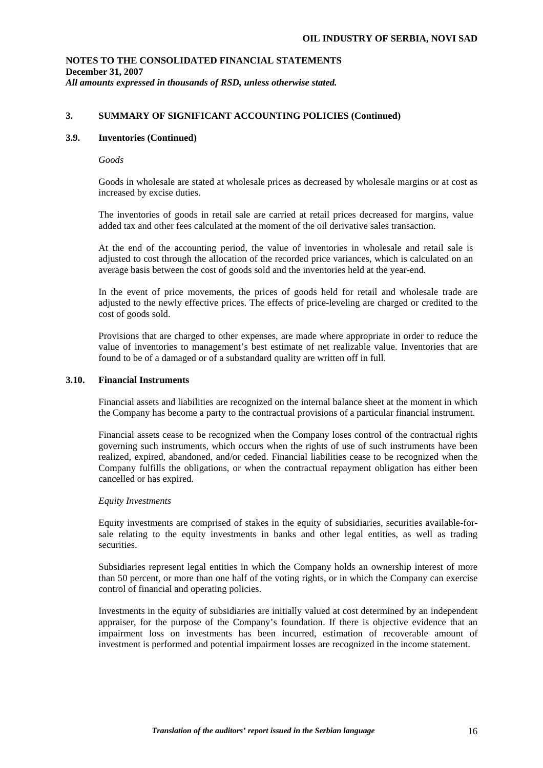## **3. SUMMARY OF SIGNIFICANT ACCOUNTING POLICIES (Continued)**

### **3.9. Inventories (Continued)**

#### *Goods*

Goods in wholesale are stated at wholesale prices as decreased by wholesale margins or at cost as increased by excise duties.

The inventories of goods in retail sale are carried at retail prices decreased for margins, value added tax and other fees calculated at the moment of the oil derivative sales transaction.

At the end of the accounting period, the value of inventories in wholesale and retail sale is adjusted to cost through the allocation of the recorded price variances, which is calculated on an average basis between the cost of goods sold and the inventories held at the year-end.

 In the event of price movements, the prices of goods held for retail and wholesale trade are adjusted to the newly effective prices. The effects of price-leveling are charged or credited to the cost of goods sold.

Provisions that are charged to other expenses, are made where appropriate in order to reduce the value of inventories to management's best estimate of net realizable value. Inventories that are found to be of a damaged or of a substandard quality are written off in full.

#### **3.10. Financial Instruments**

Financial assets and liabilities are recognized on the internal balance sheet at the moment in which the Company has become a party to the contractual provisions of a particular financial instrument.

Financial assets cease to be recognized when the Company loses control of the contractual rights governing such instruments, which occurs when the rights of use of such instruments have been realized, expired, abandoned, and/or ceded. Financial liabilities cease to be recognized when the Company fulfills the obligations, or when the contractual repayment obligation has either been cancelled or has expired.

### *Equity Investments*

Equity investments are comprised of stakes in the equity of subsidiaries, securities available-forsale relating to the equity investments in banks and other legal entities, as well as trading securities.

Subsidiaries represent legal entities in which the Company holds an ownership interest of more than 50 percent, or more than one half of the voting rights, or in which the Company can exercise control of financial and operating policies.

Investments in the equity of subsidiaries are initially valued at cost determined by an independent appraiser, for the purpose of the Company's foundation. If there is objective evidence that an impairment loss on investments has been incurred, estimation of recoverable amount of investment is performed and potential impairment losses are recognized in the income statement.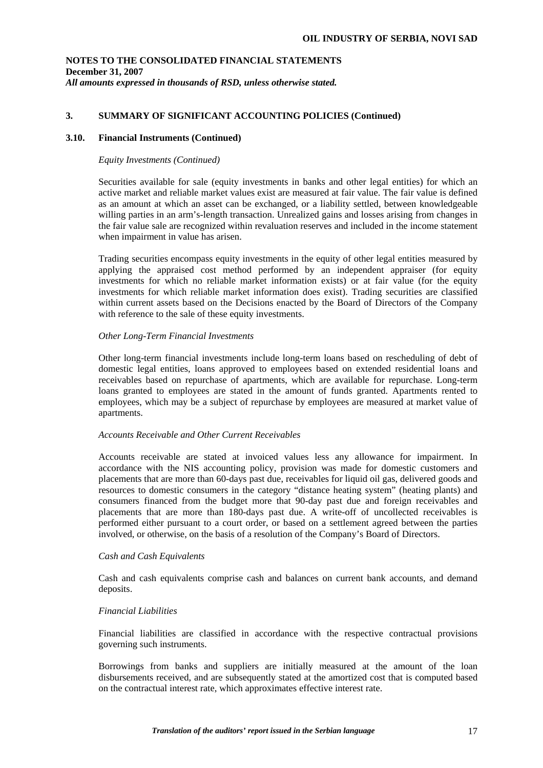## **3. SUMMARY OF SIGNIFICANT ACCOUNTING POLICIES (Continued)**

### **3.10. Financial Instruments (Continued)**

### *Equity Investments (Continued)*

Securities available for sale (equity investments in banks and other legal entities) for which an active market and reliable market values exist are measured at fair value. The fair value is defined as an amount at which an asset can be exchanged, or a liability settled, between knowledgeable willing parties in an arm's-length transaction. Unrealized gains and losses arising from changes in the fair value sale are recognized within revaluation reserves and included in the income statement when impairment in value has arisen.

Trading securities encompass equity investments in the equity of other legal entities measured by applying the appraised cost method performed by an independent appraiser (for equity investments for which no reliable market information exists) or at fair value (for the equity investments for which reliable market information does exist). Trading securities are classified within current assets based on the Decisions enacted by the Board of Directors of the Company with reference to the sale of these equity investments.

### *Other Long-Term Financial Investments*

Other long-term financial investments include long-term loans based on rescheduling of debt of domestic legal entities, loans approved to employees based on extended residential loans and receivables based on repurchase of apartments, which are available for repurchase. Long-term loans granted to employees are stated in the amount of funds granted. Apartments rented to employees, which may be a subject of repurchase by employees are measured at market value of apartments.

### *Accounts Receivable and Other Current Receivables*

Accounts receivable are stated at invoiced values less any allowance for impairment. In accordance with the NIS accounting policy, provision was made for domestic customers and placements that are more than 60-days past due, receivables for liquid oil gas, delivered goods and resources to domestic consumers in the category "distance heating system" (heating plants) and consumers financed from the budget more that 90-day past due and foreign receivables and placements that are more than 180-days past due. A write-off of uncollected receivables is performed either pursuant to a court order, or based on a settlement agreed between the parties involved, or otherwise, on the basis of a resolution of the Company's Board of Directors.

### *Cash and Cash Equivalents*

Cash and cash equivalents comprise cash and balances on current bank accounts, and demand deposits.

### *Financial Liabilities*

Financial liabilities are classified in accordance with the respective contractual provisions governing such instruments.

Borrowings from banks and suppliers are initially measured at the amount of the loan disbursements received, and are subsequently stated at the amortized cost that is computed based on the contractual interest rate, which approximates effective interest rate.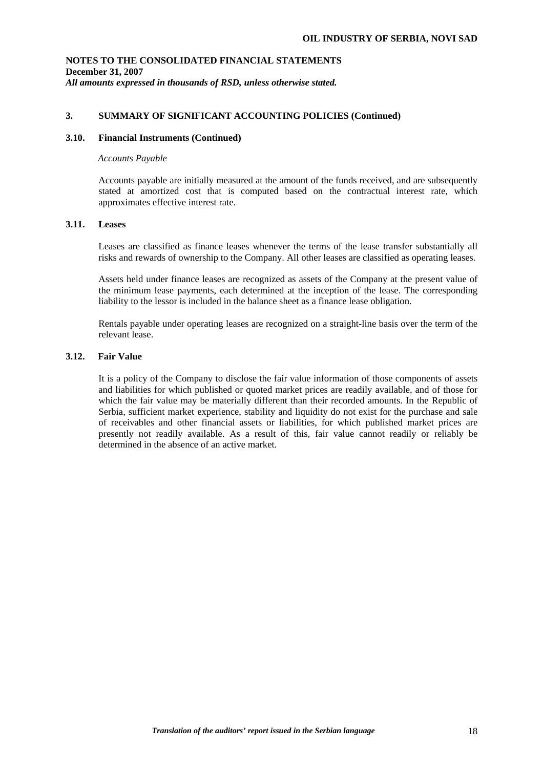## **3. SUMMARY OF SIGNIFICANT ACCOUNTING POLICIES (Continued)**

### **3.10. Financial Instruments (Continued)**

#### *Accounts Payable*

Accounts payable are initially measured at the amount of the funds received, and are subsequently stated at amortized cost that is computed based on the contractual interest rate, which approximates effective interest rate.

### **3.11. Leases**

Leases are classified as finance leases whenever the terms of the lease transfer substantially all risks and rewards of ownership to the Company. All other leases are classified as operating leases.

Assets held under finance leases are recognized as assets of the Company at the present value of the minimum lease payments, each determined at the inception of the lease. The corresponding liability to the lessor is included in the balance sheet as a finance lease obligation.

Rentals payable under operating leases are recognized on a straight-line basis over the term of the relevant lease.

## **3.12. Fair Value**

It is a policy of the Company to disclose the fair value information of those components of assets and liabilities for which published or quoted market prices are readily available, and of those for which the fair value may be materially different than their recorded amounts. In the Republic of Serbia, sufficient market experience, stability and liquidity do not exist for the purchase and sale of receivables and other financial assets or liabilities, for which published market prices are presently not readily available. As a result of this, fair value cannot readily or reliably be determined in the absence of an active market.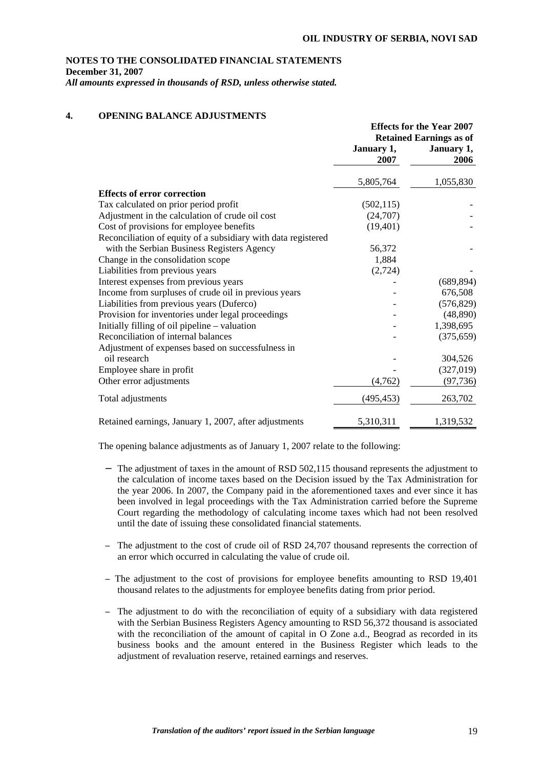## **NOTES TO THE CONSOLIDATED FINANCIAL STATEMENTS December 31, 2007**

*All amounts expressed in thousands of RSD, unless otherwise stated.* 

## **4. OPENING BALANCE ADJUSTMENTS**

|                                                               | <b>Effects for the Year 2007</b> |                    |  |
|---------------------------------------------------------------|----------------------------------|--------------------|--|
|                                                               | <b>Retained Earnings as of</b>   |                    |  |
|                                                               | January 1,<br>2007               | January 1,<br>2006 |  |
|                                                               | 5,805,764                        | 1,055,830          |  |
| <b>Effects of error correction</b>                            |                                  |                    |  |
| Tax calculated on prior period profit                         | (502, 115)                       |                    |  |
| Adjustment in the calculation of crude oil cost               | (24,707)                         |                    |  |
| Cost of provisions for employee benefits                      | (19, 401)                        |                    |  |
| Reconciliation of equity of a subsidiary with data registered |                                  |                    |  |
| with the Serbian Business Registers Agency                    | 56,372                           |                    |  |
| Change in the consolidation scope                             | 1,884                            |                    |  |
| Liabilities from previous years                               | (2,724)                          |                    |  |
| Interest expenses from previous years                         |                                  | (689, 894)         |  |
| Income from surpluses of crude oil in previous years          |                                  | 676,508            |  |
| Liabilities from previous years (Duferco)                     |                                  | (576, 829)         |  |
| Provision for inventories under legal proceedings             |                                  | (48, 890)          |  |
| Initially filling of oil pipeline – valuation                 |                                  | 1,398,695          |  |
| Reconciliation of internal balances                           |                                  | (375, 659)         |  |
| Adjustment of expenses based on successfulness in             |                                  |                    |  |
| oil research                                                  |                                  | 304,526            |  |
| Employee share in profit                                      |                                  | (327, 019)         |  |
| Other error adjustments                                       | (4,762)                          | (97, 736)          |  |
| Total adjustments                                             | (495, 453)                       | 263,702            |  |
| Retained earnings, January 1, 2007, after adjustments         | 5,310,311                        | 1,319,532          |  |

The opening balance adjustments as of January 1, 2007 relate to the following:

- − The adjustment of taxes in the amount of RSD 502,115 thousand represents the adjustment to the calculation of income taxes based on the Decision issued by the Tax Administration for the year 2006. In 2007, the Company paid in the aforementioned taxes and ever since it has been involved in legal proceedings with the Tax Administration carried before the Supreme Court regarding the methodology of calculating income taxes which had not been resolved until the date of issuing these consolidated financial statements.
- − The adjustment to the cost of crude oil of RSD 24,707 thousand represents the correction of an error which occurred in calculating the value of crude oil.
- − The adjustment to the cost of provisions for employee benefits amounting to RSD 19,401 thousand relates to the adjustments for employee benefits dating from prior period.
- − The adjustment to do with the reconciliation of equity of a subsidiary with data registered with the Serbian Business Registers Agency amounting to RSD 56,372 thousand is associated with the reconciliation of the amount of capital in O Zone a.d., Beograd as recorded in its business books and the amount entered in the Business Register which leads to the adjustment of revaluation reserve, retained earnings and reserves.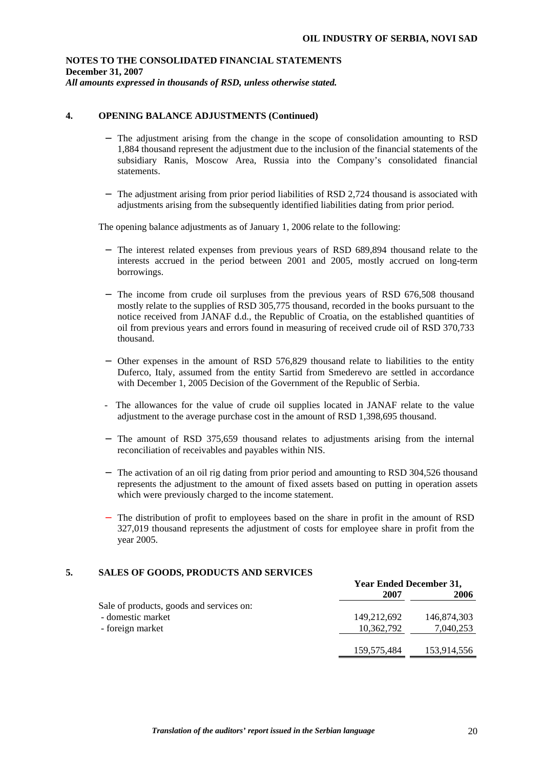## **4. OPENING BALANCE ADJUSTMENTS (Continued)**

- − The adjustment arising from the change in the scope of consolidation amounting to RSD 1,884 thousand represent the adjustment due to the inclusion of the financial statements of the subsidiary Ranis, Moscow Area, Russia into the Company's consolidated financial statements.
- − The adjustment arising from prior period liabilities of RSD 2,724 thousand is associated with adjustments arising from the subsequently identified liabilities dating from prior period.

The opening balance adjustments as of January 1, 2006 relate to the following:

- − The interest related expenses from previous years of RSD 689,894 thousand relate to the interests accrued in the period between 2001 and 2005, mostly accrued on long-term borrowings.
- − The income from crude oil surpluses from the previous years of RSD 676,508 thousand mostly relate to the supplies of RSD 305,775 thousand, recorded in the books pursuant to the notice received from JANAF d.d., the Republic of Croatia, on the established quantities of oil from previous years and errors found in measuring of received crude oil of RSD 370,733 thousand.
- − Other expenses in the amount of RSD 576,829 thousand relate to liabilities to the entity Duferco, Italy, assumed from the entity Sartid from Smederevo are settled in accordance with December 1, 2005 Decision of the Government of the Republic of Serbia.
- The allowances for the value of crude oil supplies located in JANAF relate to the value adjustment to the average purchase cost in the amount of RSD 1,398,695 thousand.
- − The amount of RSD 375,659 thousand relates to adjustments arising from the internal reconciliation of receivables and payables within NIS.
- − The activation of an oil rig dating from prior period and amounting to RSD 304,526 thousand represents the adjustment to the amount of fixed assets based on putting in operation assets which were previously charged to the income statement.
- − The distribution of profit to employees based on the share in profit in the amount of RSD 327,019 thousand represents the adjustment of costs for employee share in profit from the year 2005.

### **5. SALES OF GOODS, PRODUCTS AND SERVICES**

|                                          |             | <b>Year Ended December 31,</b> |  |  |
|------------------------------------------|-------------|--------------------------------|--|--|
|                                          | 2007        | 2006                           |  |  |
| Sale of products, goods and services on: |             |                                |  |  |
| - domestic market                        | 149,212,692 | 146,874,303                    |  |  |
| - foreign market                         | 10,362,792  | 7,040,253                      |  |  |
|                                          |             |                                |  |  |
|                                          | 159,575,484 | 153,914,556                    |  |  |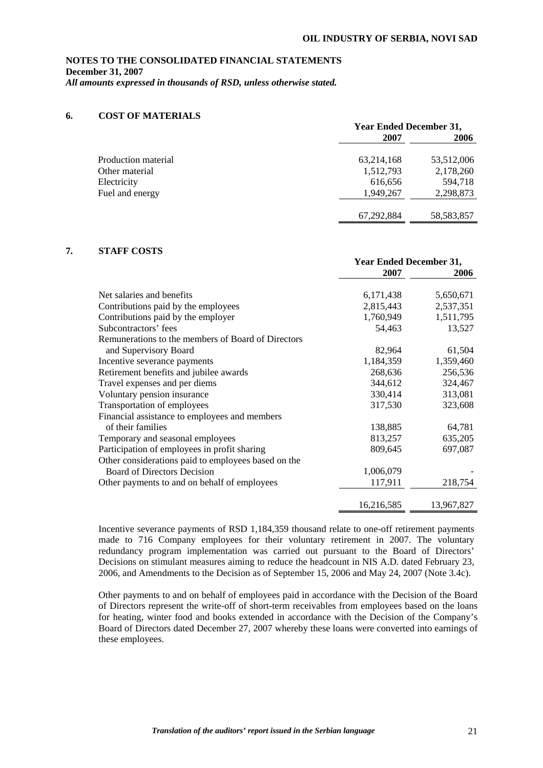### **6. COST OF MATERIALS**

|                     | <b>Year Ended December 31,</b> |              |  |
|---------------------|--------------------------------|--------------|--|
|                     | 2007                           | 2006         |  |
| Production material | 63,214,168                     | 53,512,006   |  |
| Other material      | 1,512,793                      | 2,178,260    |  |
| Electricity         | 616,656                        | 594,718      |  |
| Fuel and energy     | 1,949,267                      | 2,298,873    |  |
|                     | 67,292,884                     | 58, 583, 857 |  |

## **7. STAFF COSTS**

|                                                     | <b>Year Ended December 31,</b> |            |
|-----------------------------------------------------|--------------------------------|------------|
|                                                     | 2007                           | 2006       |
| Net salaries and benefits                           | 6,171,438                      | 5,650,671  |
| Contributions paid by the employees                 | 2,815,443                      | 2,537,351  |
| Contributions paid by the employer                  | 1,760,949                      | 1,511,795  |
| Subcontractors' fees                                | 54,463                         | 13,527     |
| Remunerations to the members of Board of Directors  |                                |            |
| and Supervisory Board                               | 82,964                         | 61,504     |
| Incentive severance payments                        | 1,184,359                      | 1,359,460  |
| Retirement benefits and jubilee awards              | 268,636                        | 256,536    |
| Travel expenses and per diems                       | 344,612                        | 324,467    |
| Voluntary pension insurance                         | 330,414                        | 313,081    |
| Transportation of employees                         | 317,530                        | 323,608    |
| Financial assistance to employees and members       |                                |            |
| of their families                                   | 138,885                        | 64,781     |
| Temporary and seasonal employees                    | 813,257                        | 635,205    |
| Participation of employees in profit sharing        | 809,645                        | 697,087    |
| Other considerations paid to employees based on the |                                |            |
| <b>Board of Directors Decision</b>                  | 1,006,079                      |            |
| Other payments to and on behalf of employees        | 117,911                        | 218,754    |
|                                                     | 16,216,585                     | 13,967,827 |

Incentive severance payments of RSD 1,184,359 thousand relate to one-off retirement payments made to 716 Company employees for their voluntary retirement in 2007. The voluntary redundancy program implementation was carried out pursuant to the Board of Directors' Decisions on stimulant measures aiming to reduce the headcount in NIS A.D. dated February 23, 2006, and Amendments to the Decision as of September 15, 2006 and May 24, 2007 (Note 3.4c).

Other payments to and on behalf of employees paid in accordance with the Decision of the Board of Directors represent the write-off of short-term receivables from employees based on the loans for heating, winter food and books extended in accordance with the Decision of the Company's Board of Directors dated December 27, 2007 whereby these loans were converted into earnings of these employees.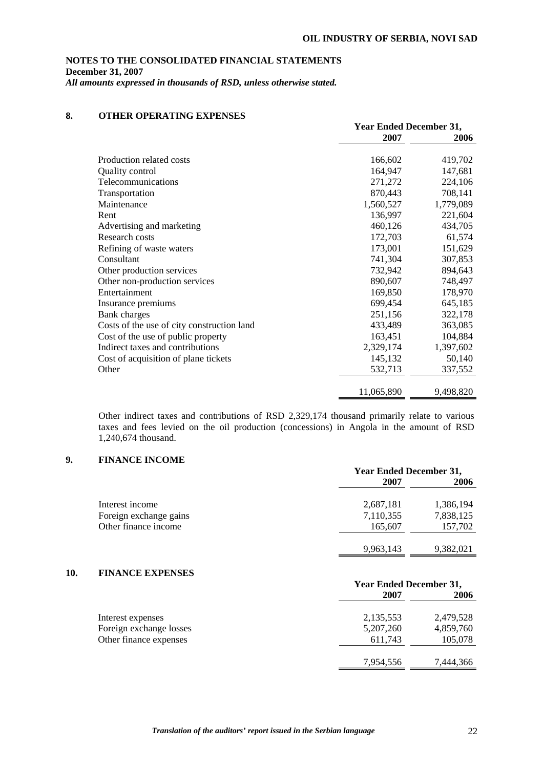## **8. OTHER OPERATING EXPENSES**

|                                            | <b>Year Ended December 31,</b> |           |  |
|--------------------------------------------|--------------------------------|-----------|--|
|                                            | 2007                           | 2006      |  |
|                                            |                                |           |  |
| Production related costs                   | 166,602                        | 419,702   |  |
| Quality control                            | 164,947                        | 147,681   |  |
| Telecommunications                         | 271,272                        | 224,106   |  |
| Transportation                             | 870,443                        | 708,141   |  |
| Maintenance                                | 1,560,527                      | 1,779,089 |  |
| Rent                                       | 136,997                        | 221,604   |  |
| Advertising and marketing                  | 460,126                        | 434,705   |  |
| Research costs                             | 172,703                        | 61,574    |  |
| Refining of waste waters                   | 173,001                        | 151,629   |  |
| Consultant                                 | 741,304                        | 307,853   |  |
| Other production services                  | 732,942                        | 894,643   |  |
| Other non-production services              | 890,607                        | 748,497   |  |
| Entertainment                              | 169,850                        | 178,970   |  |
| Insurance premiums                         | 699,454                        | 645,185   |  |
| <b>Bank</b> charges                        | 251,156                        | 322,178   |  |
| Costs of the use of city construction land | 433,489                        | 363,085   |  |
| Cost of the use of public property         | 163,451                        | 104,884   |  |
| Indirect taxes and contributions           | 2,329,174                      | 1,397,602 |  |
| Cost of acquisition of plane tickets       | 145,132                        | 50,140    |  |
| Other                                      | 532,713                        | 337,552   |  |
|                                            |                                |           |  |
|                                            | 11,065,890                     | 9,498,820 |  |

Other indirect taxes and contributions of RSD 2,329,174 thousand primarily relate to various taxes and fees levied on the oil production (concessions) in Angola in the amount of RSD 1,240,674 thousand.

## **9. FINANCE INCOME**

|                        | <b>Year Ended December 31,</b> |           |  |
|------------------------|--------------------------------|-----------|--|
|                        | 2007                           | 2006      |  |
| Interest income        | 2,687,181                      | 1,386,194 |  |
| Foreign exchange gains | 7,110,355                      | 7,838,125 |  |
| Other finance income   | 165,607                        | 157,702   |  |
|                        | 9,963,143                      | 9,382,021 |  |

## **10. FINANCE EXPENSES**

|                         |             | <b>Year Ended December 31,</b> |  |  |
|-------------------------|-------------|--------------------------------|--|--|
|                         | 2007        | 2006                           |  |  |
| Interest expenses       | 2,135,553   | 2,479,528                      |  |  |
| Foreign exchange losses | 5, 207, 260 | 4,859,760                      |  |  |
| Other finance expenses  | 611,743     | 105,078                        |  |  |
|                         | 7,954,556   | 7,444,366                      |  |  |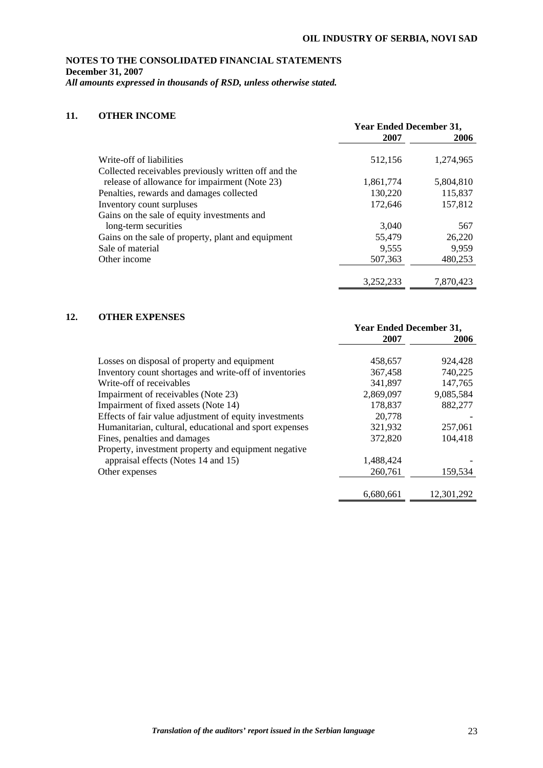# **NOTES TO THE CONSOLIDATED FINANCIAL STATEMENTS December 31, 2007**

*All amounts expressed in thousands of RSD, unless otherwise stated.* 

## **11. OTHER INCOME**

|                                                      | <b>Year Ended December 31,</b> |           |  |
|------------------------------------------------------|--------------------------------|-----------|--|
|                                                      | 2007                           | 2006      |  |
| Write-off of liabilities                             | 512,156                        | 1,274,965 |  |
| Collected receivables previously written off and the |                                |           |  |
| release of allowance for impairment (Note 23)        | 1,861,774                      | 5,804,810 |  |
| Penalties, rewards and damages collected             | 130,220                        | 115,837   |  |
| Inventory count surpluses                            | 172,646                        | 157,812   |  |
| Gains on the sale of equity investments and          |                                |           |  |
| long-term securities                                 | 3,040                          | 567       |  |
| Gains on the sale of property, plant and equipment   | 55,479                         | 26,220    |  |
| Sale of material                                     | 9,555                          | 9,959     |  |
| Other income                                         | 507,363                        | 480,253   |  |
|                                                      | 3,252,233                      | 7.870.423 |  |

## **12. OTHER EXPENSES**

|                                                        | <b>Year Ended December 31,</b> |            |  |
|--------------------------------------------------------|--------------------------------|------------|--|
|                                                        | 2007                           | 2006       |  |
| Losses on disposal of property and equipment           | 458,657                        | 924.428    |  |
| Inventory count shortages and write-off of inventories | 367.458                        | 740,225    |  |
| Write-off of receivables                               | 341,897                        | 147,765    |  |
| Impairment of receivables (Note 23)                    | 2,869,097                      | 9,085,584  |  |
| Impairment of fixed assets (Note 14)                   | 178,837                        | 882,277    |  |
| Effects of fair value adjustment of equity investments | 20,778                         |            |  |
| Humanitarian, cultural, educational and sport expenses | 321,932                        | 257,061    |  |
| Fines, penalties and damages                           | 372,820                        | 104,418    |  |
| Property, investment property and equipment negative   |                                |            |  |
| appraisal effects (Notes 14 and 15)                    | 1,488,424                      |            |  |
| Other expenses                                         | 260,761                        | 159,534    |  |
|                                                        | 6,680,661                      | 12,301,292 |  |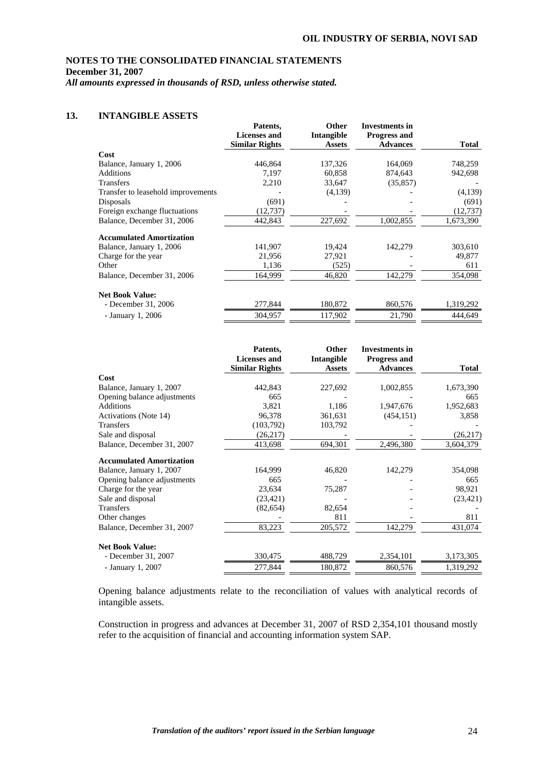## **NOTES TO THE CONSOLIDATED FINANCIAL STATEMENTS December 31, 2007**

*All amounts expressed in thousands of RSD, unless otherwise stated.* 

## **13. INTANGIBLE ASSETS**

|                                    | Patents,<br><b>Licenses and</b> | Other<br>Intangible | <b>Investments in</b><br><b>Progress and</b> |           |
|------------------------------------|---------------------------------|---------------------|----------------------------------------------|-----------|
|                                    | <b>Similar Rights</b>           | <b>Assets</b>       | <b>Advances</b>                              | Total     |
| Cost                               |                                 |                     |                                              |           |
| Balance, January 1, 2006           | 446,864                         | 137,326             | 164,069                                      | 748,259   |
| Additions                          | 7,197                           | 60,858              | 874,643                                      | 942,698   |
| Transfers                          | 2,210                           | 33,647              | (35, 857)                                    |           |
| Transfer to leasehold improvements |                                 | (4,139)             |                                              | (4,139)   |
| Disposals                          | (691)                           |                     |                                              | (691)     |
| Foreign exchange fluctuations      | (12, 737)                       |                     |                                              | (12, 737) |
| Balance, December 31, 2006         | 442,843                         | 227,692             | 1,002,855                                    | 1,673,390 |
| <b>Accumulated Amortization</b>    |                                 |                     |                                              |           |
| Balance, January 1, 2006           | 141,907                         | 19,424              | 142,279                                      | 303,610   |
| Charge for the year                | 21,956                          | 27,921              |                                              | 49,877    |
| Other                              | 1,136                           | (525)               |                                              | 611       |
| Balance, December 31, 2006         | 164,999                         | 46,820              | 142,279                                      | 354,098   |
| <b>Net Book Value:</b>             |                                 |                     |                                              |           |
| - December 31, 2006                | 277,844                         | 180,872             | 860,576                                      | 1,319,292 |
| - January 1, 2006                  | 304,957                         | 117,902             | 21,790                                       | 444,649   |

|                                 | Patents,<br><b>Licenses and</b> | Other<br>Intangible | <b>Investments in</b><br><b>Progress and</b> |              |
|---------------------------------|---------------------------------|---------------------|----------------------------------------------|--------------|
|                                 | <b>Similar Rights</b>           | <b>Assets</b>       | <b>Advances</b>                              | <b>Total</b> |
| Cost                            |                                 |                     |                                              |              |
| Balance, January 1, 2007        | 442,843                         | 227,692             | 1,002,855                                    | 1,673,390    |
| Opening balance adjustments     | 665                             |                     |                                              | 665          |
| <b>Additions</b>                | 3,821                           | 1,186               | 1,947,676                                    | 1,952,683    |
| Activations (Note 14)           | 96,378                          | 361,631             | (454, 151)                                   | 3,858        |
| <b>Transfers</b>                | (103, 792)                      | 103,792             |                                              |              |
| Sale and disposal               | (26, 217)                       |                     |                                              | (26,217)     |
| Balance, December 31, 2007      | 413,698                         | 694,301             | 2,496,380                                    | 3,604,379    |
| <b>Accumulated Amortization</b> |                                 |                     |                                              |              |
| Balance, January 1, 2007        | 164,999                         | 46,820              | 142,279                                      | 354,098      |
| Opening balance adjustments     | 665                             |                     |                                              | 665          |
| Charge for the year             | 23,634                          | 75,287              |                                              | 98,921       |
| Sale and disposal               | (23, 421)                       |                     |                                              | (23, 421)    |
| <b>Transfers</b>                | (82, 654)                       | 82,654              |                                              |              |
| Other changes                   |                                 | 811                 |                                              | 811          |
| Balance, December 31, 2007      | 83,223                          | 205,572             | 142,279                                      | 431,074      |
| <b>Net Book Value:</b>          |                                 |                     |                                              |              |
| - December 31, 2007             | 330,475                         | 488,729             | 2,354,101                                    | 3,173,305    |
| - January 1, 2007               | 277,844                         | 180,872             | 860,576                                      | 1,319,292    |

Opening balance adjustments relate to the reconciliation of values with analytical records of intangible assets.

Construction in progress and advances at December 31, 2007 of RSD 2,354,101 thousand mostly refer to the acquisition of financial and accounting information system SAP.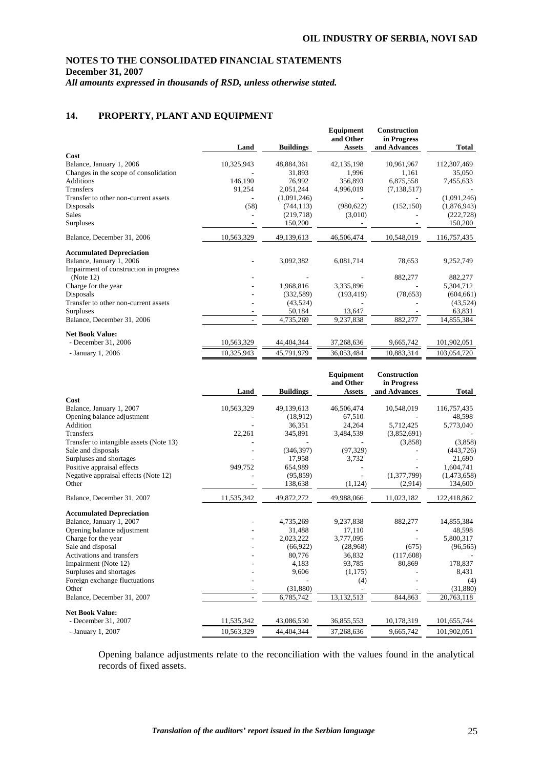## **14. PROPERTY, PLANT AND EQUIPMENT**

|                                        | Land       | <b>Buildings</b> | Equipment<br>and Other<br><b>Assets</b> | <b>Construction</b><br>in Progress<br>and Advances | Total       |
|----------------------------------------|------------|------------------|-----------------------------------------|----------------------------------------------------|-------------|
| Cost                                   |            |                  |                                         |                                                    |             |
| Balance, January 1, 2006               | 10,325,943 | 48,884,361       | 42, 135, 198                            | 10,961,967                                         | 112,307,469 |
| Changes in the scope of consolidation  |            | 31,893           | 1,996                                   | 1,161                                              | 35,050      |
| Additions                              | 146,190    | 76,992           | 356,893                                 | 6,875,558                                          | 7,455,633   |
| <b>Transfers</b>                       | 91,254     | 2,051,244        | 4,996,019                               | (7, 138, 517)                                      |             |
| Transfer to other non-current assets   |            | (1,091,246)      |                                         |                                                    | (1,091,246) |
| Disposals                              | (58)       | (744, 113)       | (980, 622)                              | (152, 150)                                         | (1,876,943) |
| <b>Sales</b>                           |            | (219,718)        | (3,010)                                 |                                                    | (222, 728)  |
| Surpluses                              |            | 150,200          |                                         |                                                    | 150,200     |
| Balance, December 31, 2006             | 10,563,329 | 49,139,613       | 46,506,474                              | 10,548,019                                         | 116,757,435 |
| <b>Accumulated Depreciation</b>        |            |                  |                                         |                                                    |             |
| Balance, January 1, 2006               |            | 3,092,382        | 6,081,714                               | 78,653                                             | 9,252,749   |
| Impairment of construction in progress |            |                  |                                         |                                                    |             |
| (Note 12)                              |            |                  |                                         | 882,277                                            | 882,277     |
| Charge for the year                    |            | 1,968,816        | 3,335,896                               |                                                    | 5,304,712   |
| Disposals                              |            | (332, 589)       | (193, 419)                              | (78, 653)                                          | (604, 661)  |
| Transfer to other non-current assets   |            | (43,524)         |                                         |                                                    | (43, 524)   |
| Surpluses                              |            | 50,184           | 13,647                                  |                                                    | 63,831      |
| Balance, December 31, 2006             |            | 4,735,269        | 9,237,838                               | 882,277                                            | 14,855,384  |
| <b>Net Book Value:</b>                 |            |                  |                                         |                                                    |             |
| - December 31, 2006                    | 10,563,329 | 44,404,344       | 37,268,636                              | 9,665,742                                          | 101,902,051 |
| - January 1, 2006                      | 10,325,943 | 45,791,979       | 36,053,484                              | 10,883,314                                         | 103,054,720 |

|                                         | Land       | <b>Buildings</b> | Equipment<br>and Other<br><b>Assets</b> | <b>Construction</b><br>in Progress<br>and Advances | <b>Total</b> |
|-----------------------------------------|------------|------------------|-----------------------------------------|----------------------------------------------------|--------------|
| Cost                                    |            |                  |                                         |                                                    |              |
| Balance, January 1, 2007                | 10,563,329 | 49,139,613       | 46,506,474                              | 10,548,019                                         | 116,757,435  |
| Opening balance adjustment              |            | (18.912)         | 67,510                                  |                                                    | 48,598       |
| Addition                                |            | 36,351           | 24,264                                  | 5,712,425                                          | 5,773,040    |
| <b>Transfers</b>                        | 22,261     | 345,891          | 3,484,539                               | (3,852,691)                                        |              |
| Transfer to intangible assets (Note 13) |            |                  |                                         | (3,858)                                            | (3,858)      |
| Sale and disposals                      |            | (346, 397)       | (97, 329)                               |                                                    | (443, 726)   |
| Surpluses and shortages                 |            | 17,958           | 3,732                                   |                                                    | 21,690       |
| Positive appraisal effects              | 949,752    | 654,989          |                                         |                                                    | 1,604,741    |
| Negative appraisal effects (Note 12)    |            | (95, 859)        |                                         | (1,377,799)                                        | (1,473,658)  |
| Other                                   |            | 138,638          | (1, 124)                                | (2,914)                                            | 134,600      |
| Balance, December 31, 2007              | 11,535,342 | 49,872,272       | 49,988,066                              | 11,023,182                                         | 122,418,862  |
| <b>Accumulated Depreciation</b>         |            |                  |                                         |                                                    |              |
| Balance, January 1, 2007                |            | 4,735,269        | 9,237,838                               | 882,277                                            | 14,855,384   |
| Opening balance adjustment              |            | 31,488           | 17,110                                  |                                                    | 48,598       |
| Charge for the year                     |            | 2,023,222        | 3,777,095                               |                                                    | 5,800,317    |
| Sale and disposal                       |            | (66, 922)        | (28,968)                                | (675)                                              | (96, 565)    |
| Activations and transfers               |            | 80,776           | 36,832                                  | (117,608)                                          |              |
| Impairment (Note 12)                    |            | 4,183            | 93,785                                  | 80,869                                             | 178,837      |
| Surpluses and shortages                 |            | 9,606            | (1,175)                                 |                                                    | 8,431        |
| Foreign exchange fluctuations           |            |                  | (4)                                     |                                                    | (4)          |
| Other                                   |            | (31,880)         |                                         |                                                    | (31,880)     |
| Balance, December 31, 2007              | ٠          | 6,785,742        | 13,132,513                              | 844,863                                            | 20,763,118   |
| <b>Net Book Value:</b>                  |            |                  |                                         |                                                    |              |
| - December 31, 2007                     | 11,535,342 | 43,086,530       | 36,855,553                              | 10,178,319                                         | 101,655,744  |
| - January 1, 2007                       | 10,563,329 | 44.404.344       | 37,268,636                              | 9,665,742                                          | 101,902,051  |

Opening balance adjustments relate to the reconciliation with the values found in the analytical records of fixed assets.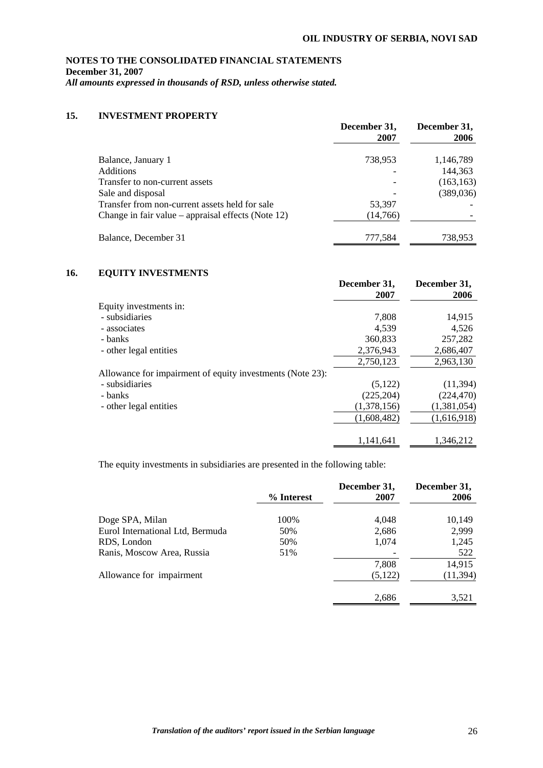# **NOTES TO THE CONSOLIDATED FINANCIAL STATEMENTS December 31, 2007**

*All amounts expressed in thousands of RSD, unless otherwise stated.* 

## **15. INVESTMENT PROPERTY**

|                                                       | December 31,<br>2007 | December 31,<br>2006 |
|-------------------------------------------------------|----------------------|----------------------|
| Balance, January 1                                    | 738,953              | 1,146,789            |
| <b>Additions</b>                                      |                      | 144,363              |
| Transfer to non-current assets                        |                      | (163, 163)           |
| Sale and disposal                                     |                      | (389, 036)           |
| Transfer from non-current assets held for sale        | 53,397               |                      |
| Change in fair value – appraisal effects (Note $12$ ) | (14,766)             |                      |
| Balance, December 31                                  | 777,584              | 738,953              |

## **16. EQUITY INVESTMENTS**

|                                                           | December 31, | December 31, |
|-----------------------------------------------------------|--------------|--------------|
|                                                           | 2007         | 2006         |
| Equity investments in:                                    |              |              |
| - subsidiaries                                            | 7.808        | 14,915       |
| - associates                                              | 4,539        | 4,526        |
| - banks                                                   | 360,833      | 257,282      |
| - other legal entities                                    | 2,376,943    | 2,686,407    |
|                                                           | 2,750,123    | 2,963,130    |
| Allowance for impairment of equity investments (Note 23): |              |              |
| - subsidiaries                                            | (5,122)      | (11, 394)    |
| - banks                                                   | (225, 204)   | (224, 470)   |
| - other legal entities                                    | (1,378,156)  | (1,381,054)  |
|                                                           | (1,608,482)  | (1,616,918)  |
|                                                           | 1.141.641    | 1.346.212    |

The equity investments in subsidiaries are presented in the following table:

|                                  | % Interest | December 31,<br>2007 | December 31,<br>2006 |
|----------------------------------|------------|----------------------|----------------------|
| Doge SPA, Milan                  | 100%       | 4,048                | 10,149               |
| Eurol International Ltd, Bermuda | 50%        | 2,686                | 2,999                |
| RDS, London                      | 50%        | 1,074                | 1,245                |
| Ranis, Moscow Area, Russia       | 51%        |                      | 522                  |
|                                  |            | 7,808                | 14,915               |
| Allowance for impairment         |            | (5,122)              | (11, 394)            |
|                                  |            | 2,686                | 3,521                |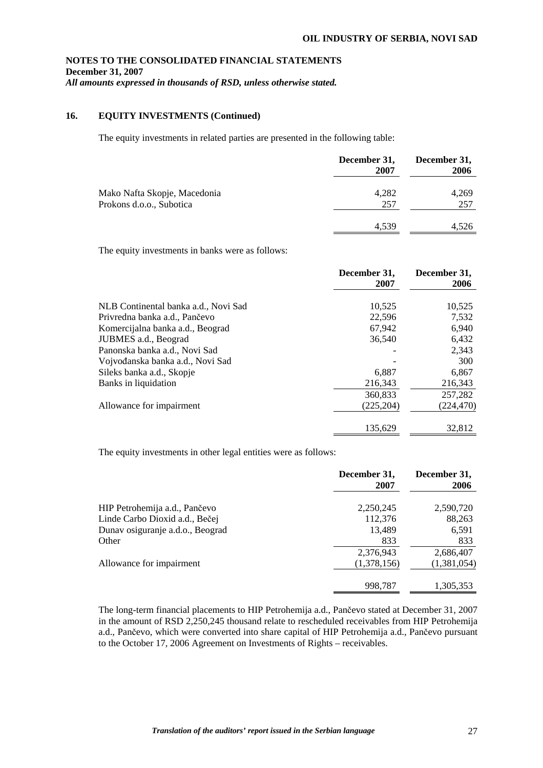## **16. EQUITY INVESTMENTS (Continued)**

The equity investments in related parties are presented in the following table:

|                                                          | December 31,<br>2007 | December 31,<br>2006 |
|----------------------------------------------------------|----------------------|----------------------|
| Mako Nafta Skopje, Macedonia<br>Prokons d.o.o., Subotica | 4,282<br>257         | 4,269<br>257         |
|                                                          | 4,539                | 4,526                |

The equity investments in banks were as follows:

|                                      | December 31,<br>2007 | December 31,<br>2006 |
|--------------------------------------|----------------------|----------------------|
| NLB Continental banka a.d., Novi Sad | 10,525               | 10,525               |
| Privredna banka a.d., Pančevo        | 22,596               | 7,532                |
| Komercijalna banka a.d., Beograd     | 67.942               | 6,940                |
| JUBMES a.d., Beograd                 | 36,540               | 6,432                |
| Panonska banka a.d., Novi Sad        |                      | 2,343                |
| Vojvođanska banka a.d., Novi Sad     |                      | 300                  |
| Sileks banka a.d., Skopje            | 6.887                | 6,867                |
| Banks in liquidation                 | 216,343              | 216,343              |
|                                      | 360,833              | 257,282              |
| Allowance for impairment             | (225, 204)           | (224,470)            |
|                                      | 135,629              | 32,812               |

The equity investments in other legal entities were as follows:

|                                  | December 31,<br>2007 | December 31,<br>2006 |
|----------------------------------|----------------------|----------------------|
| HIP Petrohemija a.d., Pančevo    | 2,250,245            | 2,590,720            |
| Linde Carbo Dioxid a.d., Bečej   | 112,376              | 88,263               |
| Dunav osiguranje a.d.o., Beograd | 13,489               | 6,591                |
| Other                            | 833                  | 833                  |
|                                  | 2,376,943            | 2,686,407            |
| Allowance for impairment         | (1,378,156)          | (1,381,054)          |
|                                  | 998,787              | 1,305,353            |

The long-term financial placements to HIP Petrohemija a.d., Pančevo stated at December 31, 2007 in the amount of RSD 2,250,245 thousand relate to rescheduled receivables from HIP Petrohemija a.d., Pančevo, which were converted into share capital of HIP Petrohemija a.d., Pančevo pursuant to the October 17, 2006 Agreement on Investments of Rights – receivables.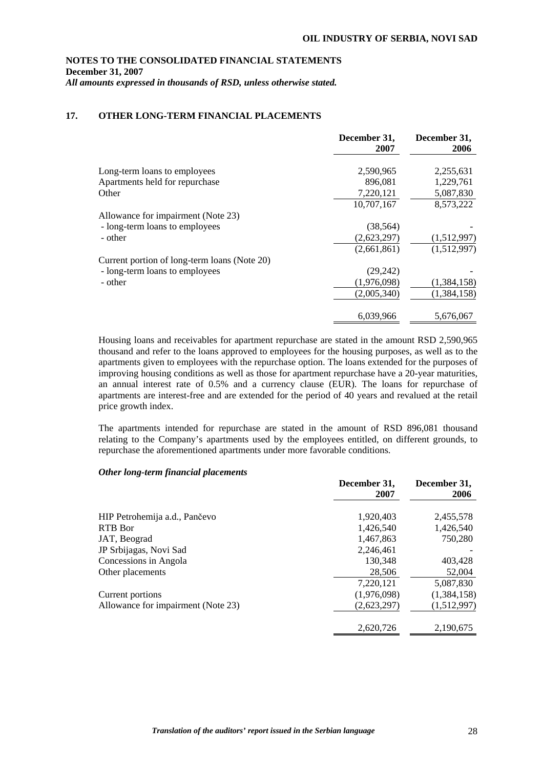#### **NOTES TO THE CONSOLIDATED FINANCIAL STATEMENTS December 31, 2007**

*All amounts expressed in thousands of RSD, unless otherwise stated.* 

## **17. OTHER LONG-TERM FINANCIAL PLACEMENTS**

|                                              | December 31,<br>2007 | December 31,<br>2006 |
|----------------------------------------------|----------------------|----------------------|
|                                              |                      |                      |
| Long-term loans to employees                 | 2,590,965            | 2,255,631            |
| Apartments held for repurchase               | 896,081              | 1,229,761            |
| Other                                        | 7,220,121            | 5,087,830            |
|                                              | 10,707,167           | 8,573,222            |
| Allowance for impairment (Note 23)           |                      |                      |
| - long-term loans to employees               | (38, 564)            |                      |
| - other                                      | (2,623,297)          | (1,512,997)          |
|                                              | (2,661,861)          | (1,512,997)          |
| Current portion of long-term loans (Note 20) |                      |                      |
| - long-term loans to employees               | (29,242)             |                      |
| - other                                      | (1,976,098)          | (1,384,158)          |
|                                              | (2,005,340)          | (1,384,158)          |
|                                              |                      | 5,676,067            |
|                                              | 6,039,966            |                      |

Housing loans and receivables for apartment repurchase are stated in the amount RSD 2,590,965 thousand and refer to the loans approved to employees for the housing purposes, as well as to the apartments given to employees with the repurchase option. The loans extended for the purposes of improving housing conditions as well as those for apartment repurchase have a 20-year maturities, an annual interest rate of 0.5% and a currency clause (EUR). The loans for repurchase of apartments are interest-free and are extended for the period of 40 years and revalued at the retail price growth index.

The apartments intended for repurchase are stated in the amount of RSD 896,081 thousand relating to the Company's apartments used by the employees entitled, on different grounds, to repurchase the aforementioned apartments under more favorable conditions.

#### *Other long-term financial placements*

| 2007        | December 31,<br>2006 |
|-------------|----------------------|
| 1,920,403   | 2,455,578            |
| 1.426.540   | 1.426.540            |
| 1,467,863   | 750,280              |
| 2,246,461   |                      |
| 130,348     | 403,428              |
| 28,506      | 52,004               |
| 7,220,121   | 5,087,830            |
| (1,976,098) | (1,384,158)          |
| (2,623,297) | (1,512,997)          |
| 2,620,726   | 2,190,675            |
|             |                      |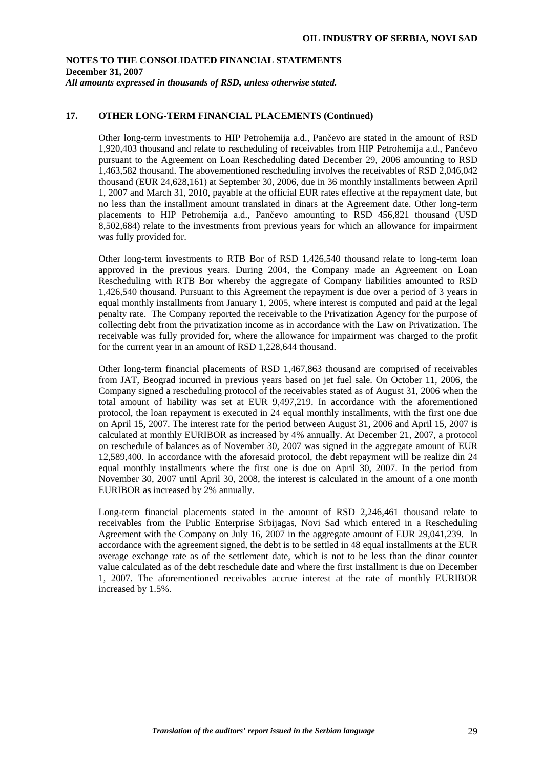## **17. OTHER LONG-TERM FINANCIAL PLACEMENTS (Continued)**

Other long-term investments to HIP Petrohemija a.d., Pančevo are stated in the amount of RSD 1,920,403 thousand and relate to rescheduling of receivables from HIP Petrohemija a.d., Pančevo pursuant to the Agreement on Loan Rescheduling dated December 29, 2006 amounting to RSD 1,463,582 thousand. The abovementioned rescheduling involves the receivables of RSD 2,046,042 thousand (EUR 24,628,161) at September 30, 2006, due in 36 monthly installments between April 1, 2007 and March 31, 2010, payable at the official EUR rates effective at the repayment date, but no less than the installment amount translated in dinars at the Agreement date. Other long-term placements to HIP Petrohemija a.d., Pančevo amounting to RSD 456,821 thousand (USD 8,502,684) relate to the investments from previous years for which an allowance for impairment was fully provided for.

Other long-term investments to RTB Bor of RSD 1,426,540 thousand relate to long-term loan approved in the previous years. During 2004, the Company made an Agreement on Loan Rescheduling with RTB Bor whereby the aggregate of Company liabilities amounted to RSD 1,426,540 thousand. Pursuant to this Agreement the repayment is due over a period of 3 years in equal monthly installments from January 1, 2005, where interest is computed and paid at the legal penalty rate. The Company reported the receivable to the Privatization Agency for the purpose of collecting debt from the privatization income as in accordance with the Law on Privatization. The receivable was fully provided for, where the allowance for impairment was charged to the profit for the current year in an amount of RSD 1,228,644 thousand.

Other long-term financial placements of RSD 1,467,863 thousand are comprised of receivables from JAT, Beograd incurred in previous years based on jet fuel sale. On October 11, 2006, the Company signed a rescheduling protocol of the receivables stated as of August 31, 2006 when the total amount of liability was set at EUR 9,497,219. In accordance with the aforementioned protocol, the loan repayment is executed in 24 equal monthly installments, with the first one due on April 15, 2007. The interest rate for the period between August 31, 2006 and April 15, 2007 is calculated at monthly EURIBOR as increased by 4% annually. At December 21, 2007, a protocol on reschedule of balances as of November 30, 2007 was signed in the aggregate amount of EUR 12,589,400. In accordance with the aforesaid protocol, the debt repayment will be realize din 24 equal monthly installments where the first one is due on April 30, 2007. In the period from November 30, 2007 until April 30, 2008, the interest is calculated in the amount of a one month EURIBOR as increased by 2% annually.

Long-term financial placements stated in the amount of RSD 2,246,461 thousand relate to receivables from the Public Enterprise Srbijagas, Novi Sad which entered in a Rescheduling Agreement with the Company on July 16, 2007 in the aggregate amount of EUR 29,041,239. In accordance with the agreement signed, the debt is to be settled in 48 equal installments at the EUR average exchange rate as of the settlement date, which is not to be less than the dinar counter value calculated as of the debt reschedule date and where the first installment is due on December 1, 2007. The aforementioned receivables accrue interest at the rate of monthly EURIBOR increased by 1.5%.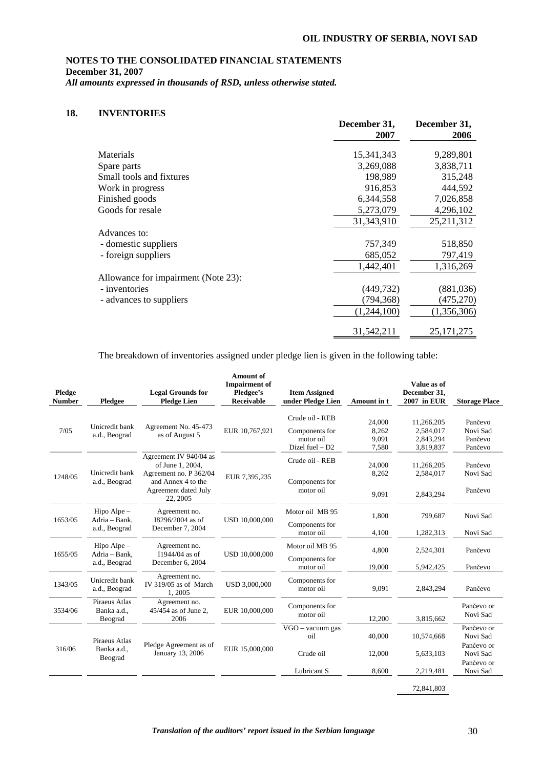### **18. INVENTORIES**

|                                     | December 31,<br>2007 | December 31,<br>2006 |
|-------------------------------------|----------------------|----------------------|
| Materials                           | 15,341,343           | 9,289,801            |
| Spare parts                         | 3,269,088            | 3,838,711            |
| Small tools and fixtures            | 198,989              | 315,248              |
| Work in progress                    | 916,853              | 444,592              |
| Finished goods                      | 6,344,558            | 7,026,858            |
| Goods for resale                    | 5,273,079            | 4,296,102            |
|                                     | 31,343,910           | 25,211,312           |
| Advances to:                        |                      |                      |
| - domestic suppliers                | 757,349              | 518,850              |
| - foreign suppliers                 | 685,052              | 797,419              |
|                                     | 1,442,401            | 1,316,269            |
| Allowance for impairment (Note 23): |                      |                      |
| - inventories                       | (449, 732)           | (881,036)            |
| - advances to suppliers             | (794,368)            | (475, 270)           |
|                                     | (1,244,100)          | (1,356,306)          |
|                                     | 31,542,211           | 25, 171, 275         |

The breakdown of inventories assigned under pledge lien is given in the following table:

| Pledge<br><b>Number</b> | Pledgee                                         | <b>Legal Grounds for</b><br><b>Pledge Lien</b>                                                                                 | <b>Amount of</b><br><b>Impairment</b> of<br>Pledgee's<br><b>Receivable</b> | <b>Item Assigned</b><br>under Pledge Lien                           | Amount in t                       | Value as of<br>December 31,<br>2007 in EUR        | <b>Storage Place</b>                                                       |
|-------------------------|-------------------------------------------------|--------------------------------------------------------------------------------------------------------------------------------|----------------------------------------------------------------------------|---------------------------------------------------------------------|-----------------------------------|---------------------------------------------------|----------------------------------------------------------------------------|
| 7/05                    | Unicredit bank<br>a.d., Beograd                 | Agreement No. 45-473<br>as of August 5                                                                                         | EUR 10,767,921                                                             | Crude oil - REB<br>Components for<br>motor oil<br>Dizel fuel $- D2$ | 24,000<br>8,262<br>9,091<br>7,580 | 11,266,205<br>2,584,017<br>2,843,294<br>3,819,837 | Pančevo<br>Novi Sad<br>Pančevo<br>Pančevo                                  |
| 1248/05                 | Unicredit bank<br>a.d., Beograd                 | Agreement IV 940/04 as<br>of June 1, 2004,<br>Agreement no. P 362/04<br>and Annex 4 to the<br>Agreement dated July<br>22, 2005 | EUR 7,395,235                                                              | Crude oil - REB<br>Components for<br>motor oil                      | 24,000<br>8,262<br>9,091          | 11,266,205<br>2,584,017<br>2,843,294              | Pančevo<br>Novi Sad<br>Pančevo                                             |
| 1653/05                 | Hipo Alpe $-$<br>Adria - Bank,<br>a.d., Beograd | Agreement no.<br>I8296/2004 as of<br>December 7, 2004                                                                          | USD 10,000,000                                                             | Motor oil MB 95<br>Components for<br>motor oil                      | 1,800<br>4.100                    | 799,687<br>1,282,313                              | Novi Sad<br>Novi Sad                                                       |
| 1655/05                 | Hipo Alpe $-$<br>Adria - Bank,<br>a.d., Beograd | Agreement no.<br>$I1944/04$ as of<br>December 6, 2004                                                                          | USD 10,000,000                                                             | Motor oil MB 95<br>Components for<br>motor oil                      | 4,800<br>19.000                   | 2,524,301<br>5,942,425                            | Pančevo<br>Pančevo                                                         |
| 1343/05                 | Unicredit bank<br>a.d., Beograd                 | Agreement no.<br>IV 319/05 as of March<br>1,2005                                                                               | USD 3,000,000                                                              | Components for<br>motor oil                                         | 9,091                             | 2,843,294                                         | Pančevo                                                                    |
| 3534/06                 | Piraeus Atlas<br>Banka a.d.,<br>Beograd         | Agreement no.<br>45/454 as of June 2,<br>2006                                                                                  | EUR 10,000,000                                                             | Components for<br>motor oil                                         | 12.200                            | 3,815,662                                         | Pančevo or<br>Novi Sad                                                     |
| 316/06                  | Piraeus Atlas<br>Banka a.d.,<br>Beograd         | Pledge Agreement as of<br>January 13, 2006                                                                                     | EUR 15,000,000                                                             | VGO - vacuum gas<br>oil<br>Crude oil<br>Lubricant S                 | 40,000<br>12,000<br>8,600         | 10,574,668<br>5,633,103<br>2,219,481              | Pančevo or<br>Novi Sad<br>Pančevo or<br>Novi Sad<br>Pančevo or<br>Novi Sad |
|                         |                                                 |                                                                                                                                |                                                                            |                                                                     |                                   | 72,841,803                                        |                                                                            |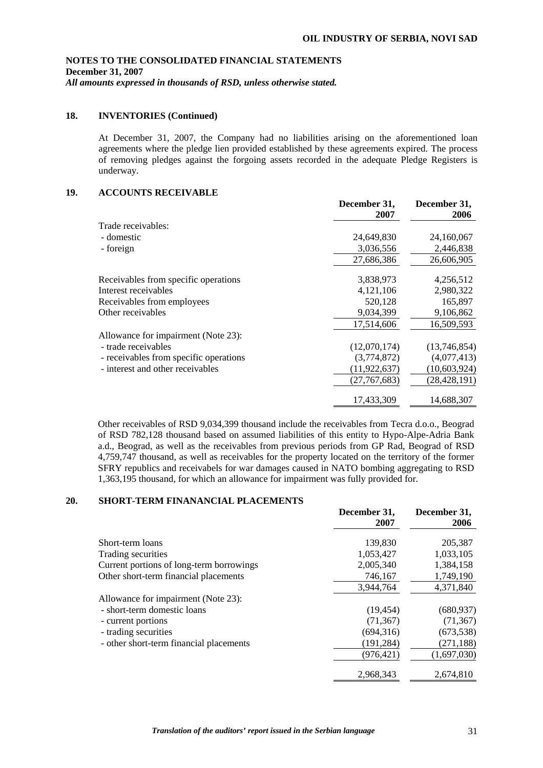## **18. INVENTORIES (Continued)**

At December 31, 2007, the Company had no liabilities arising on the aforementioned loan agreements where the pledge lien provided established by these agreements expired. The process of removing pledges against the forgoing assets recorded in the adequate Pledge Registers is underway.

## **19. ACCOUNTS RECEIVABLE**

|                                        | December 31,<br>2007 | December 31,<br>2006 |
|----------------------------------------|----------------------|----------------------|
| Trade receivables:                     |                      |                      |
| - domestic                             | 24,649,830           | 24,160,067           |
| - foreign                              | 3,036,556            | 2,446,838            |
|                                        | 27,686,386           | 26,606,905           |
| Receivables from specific operations   | 3,838,973            | 4,256,512            |
| Interest receivables                   | 4,121,106            | 2,980,322            |
| Receivables from employees             | 520,128              | 165,897              |
| Other receivables                      | 9,034,399            | 9,106,862            |
|                                        | 17,514,606           | 16,509,593           |
| Allowance for impairment (Note 23):    |                      |                      |
| - trade receivables                    | (12,070,174)         | (13,746,854)         |
| - receivables from specific operations | (3,774,872)          | (4,077,413)          |
| - interest and other receivables       | (11, 922, 637)       | (10,603,924)         |
|                                        | (27,767,683)         | (28, 428, 191)       |
|                                        | 17,433,309           | 14,688,307           |

Other receivables of RSD 9,034,399 thousand include the receivables from Tecra d.o.o., Beograd of RSD 782,128 thousand based on assumed liabilities of this entity to Hypo-Alpe-Adria Bank a.d., Beograd, as well as the receivables from previous periods from GP Rad, Beograd of RSD 4,759,747 thousand, as well as receivables for the property located on the territory of the former SFRY republics and receivabels for war damages caused in NATO bombing aggregating to RSD 1,363,195 thousand, for which an allowance for impairment was fully provided for.

## **20. SHORT-TERM FINANANCIAL PLACEMENTS**

|                                          | December 31,<br>2007 | December 31,<br>2006 |
|------------------------------------------|----------------------|----------------------|
| Short-term loans                         | 139,830              | 205,387              |
| Trading securities                       | 1,053,427            | 1,033,105            |
| Current portions of long-term borrowings | 2,005,340            | 1,384,158            |
| Other short-term financial placements    | 746,167              | 1,749,190            |
|                                          | 3,944,764            | 4,371,840            |
| Allowance for impairment (Note 23):      |                      |                      |
| - short-term domestic loans              | (19, 454)            | (680, 937)           |
| - current portions                       | (71, 367)            | (71, 367)            |
| - trading securities                     | (694, 316)           | (673, 538)           |
| - other short-term financial placements  | (191, 284)           | (271, 188)           |
|                                          | (976, 421)           | (1,697,030)          |
|                                          | 2.968.343            | 2,674,810            |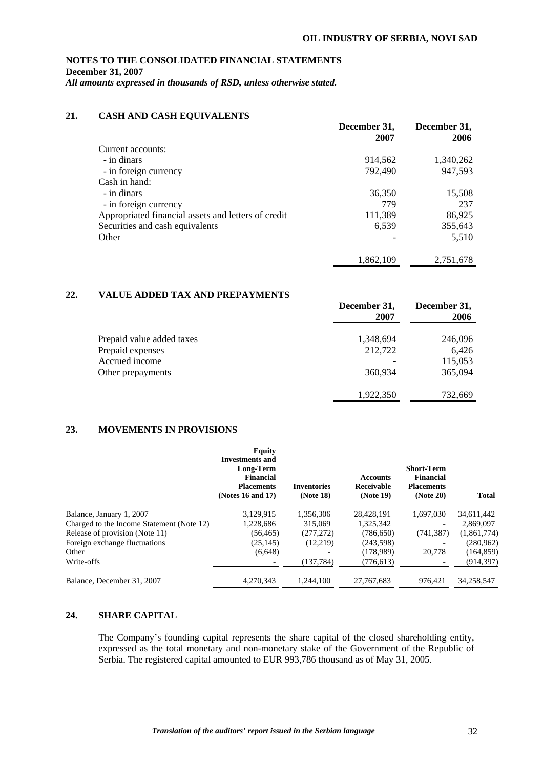## **21. CASH AND CASH EQUIVALENTS**

|                                                     | December 31,<br>2007 | December 31,<br>2006 |
|-----------------------------------------------------|----------------------|----------------------|
| Current accounts:                                   |                      |                      |
| - in dinars                                         | 914,562              | 1,340,262            |
| - in foreign currency                               | 792,490              | 947,593              |
| Cash in hand:                                       |                      |                      |
| - in dinars                                         | 36,350               | 15,508               |
| - in foreign currency                               | 779                  | 237                  |
| Appropriated financial assets and letters of credit | 111,389              | 86,925               |
| Securities and cash equivalents                     | 6,539                | 355,643              |
| Other                                               |                      | 5,510                |
|                                                     | 1,862,109            | 2,751,678            |

### **22. VALUE ADDED TAX AND PREPAYMENTS**

|                           | December 31,<br>2007 | December 31,<br>2006 |
|---------------------------|----------------------|----------------------|
| Prepaid value added taxes | 1,348,694            | 246,096              |
| Prepaid expenses          | 212,722              | 6,426                |
| Accrued income            |                      | 115,053              |
| Other prepayments         | 360,934              | 365,094              |
|                           | 1,922,350            | 732,669              |

### **23. MOVEMENTS IN PROVISIONS**

|                                           | <b>Equity</b><br><b>Investments and</b><br>Long-Term<br><b>Financial</b><br><b>Placements</b><br>(Notes 16 and 17) | <b>Inventories</b><br>(Note 18) | <b>Accounts</b><br>Receivable<br>(Note 19) | <b>Short-Term</b><br><b>Financial</b><br><b>Placements</b><br>(Note 20) | <b>Total</b> |
|-------------------------------------------|--------------------------------------------------------------------------------------------------------------------|---------------------------------|--------------------------------------------|-------------------------------------------------------------------------|--------------|
| Balance, January 1, 2007                  | 3,129,915                                                                                                          | 1,356,306                       | 28,428,191                                 | 1,697,030                                                               | 34,611,442   |
| Charged to the Income Statement (Note 12) | 1,228,686                                                                                                          | 315,069                         | 1,325,342                                  |                                                                         | 2.869,097    |
| Release of provision (Note 11)            | (56, 465)                                                                                                          | (277, 272)                      | (786, 650)                                 | (741, 387)                                                              | (1,861,774)  |
| Foreign exchange fluctuations             | (25, 145)                                                                                                          | (12,219)                        | (243,598)                                  |                                                                         | (280, 962)   |
| Other                                     | (6,648)                                                                                                            |                                 | (178.989)                                  | 20,778                                                                  | (164, 859)   |
| Write-offs                                |                                                                                                                    | (137, 784)                      | (776, 613)                                 |                                                                         | (914, 397)   |
| Balance, December 31, 2007                | 4.270.343                                                                                                          | 1.244.100                       | 27.767.683                                 | 976,421                                                                 | 34.258.547   |

## **24. SHARE CAPITAL**

The Company's founding capital represents the share capital of the closed shareholding entity, expressed as the total monetary and non-monetary stake of the Government of the Republic of Serbia. The registered capital amounted to EUR 993,786 thousand as of May 31, 2005.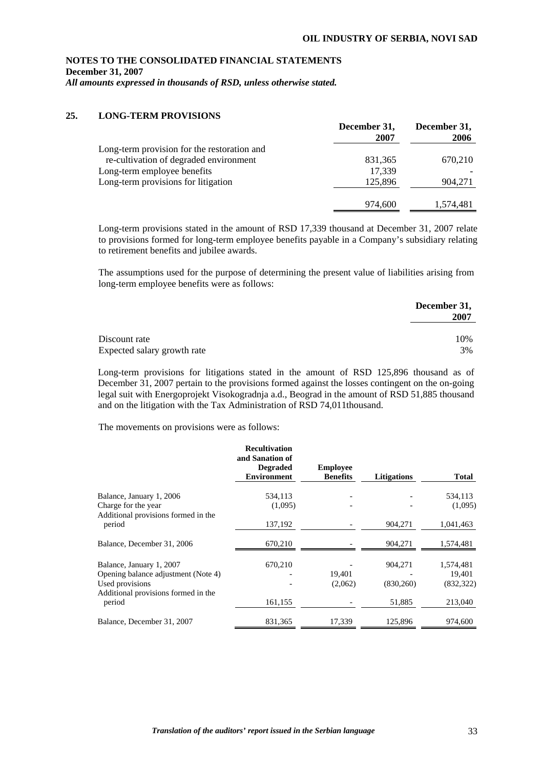## **NOTES TO THE CONSOLIDATED FINANCIAL STATEMENTS December 31, 2007**

*All amounts expressed in thousands of RSD, unless otherwise stated.* 

## **25. LONG-TERM PROVISIONS**

|                                             | December 31,<br>2007 | December 31,<br>2006 |
|---------------------------------------------|----------------------|----------------------|
| Long-term provision for the restoration and |                      |                      |
| re-cultivation of degraded environment      | 831, 365             | 670,210              |
| Long-term employee benefits                 | 17,339               |                      |
| Long-term provisions for litigation         | 125,896              | 904.271              |
|                                             | 974,600              | 1,574,481            |

Long-term provisions stated in the amount of RSD 17,339 thousand at December 31, 2007 relate to provisions formed for long-term employee benefits payable in a Company's subsidiary relating to retirement benefits and jubilee awards.

The assumptions used for the purpose of determining the present value of liabilities arising from long-term employee benefits were as follows:

|                             | December 31,<br>2007 |
|-----------------------------|----------------------|
| Discount rate               | 10%                  |
| Expected salary growth rate | 3%                   |

Long-term provisions for litigations stated in the amount of RSD 125,896 thousand as of December 31, 2007 pertain to the provisions formed against the losses contingent on the on-going legal suit with Energoprojekt Visokogradnja a.d., Beograd in the amount of RSD 51,885 thousand and on the litigation with the Tax Administration of RSD 74,011thousand.

The movements on provisions were as follows:

|                                                                                                                           | <b>Recultivation</b><br>and Sanation of<br><b>Degraded</b><br><b>Environment</b> | <b>Employee</b><br><b>Benefits</b> | <b>Litigations</b>    | <b>Total</b>                      |
|---------------------------------------------------------------------------------------------------------------------------|----------------------------------------------------------------------------------|------------------------------------|-----------------------|-----------------------------------|
| Balance, January 1, 2006<br>Charge for the year<br>Additional provisions formed in the                                    | 534,113<br>(1,095)                                                               |                                    |                       | 534,113<br>(1,095)                |
| period                                                                                                                    | 137,192                                                                          |                                    | 904,271               | 1,041,463                         |
| Balance, December 31, 2006                                                                                                | 670,210                                                                          |                                    | 904,271               | 1,574,481                         |
| Balance, January 1, 2007<br>Opening balance adjustment (Note 4)<br>Used provisions<br>Additional provisions formed in the | 670,210                                                                          | 19.401<br>(2,062)                  | 904,271<br>(830, 260) | 1,574,481<br>19,401<br>(832, 322) |
| period                                                                                                                    | 161,155                                                                          |                                    | 51,885                | 213,040                           |
| Balance, December 31, 2007                                                                                                | 831, 365                                                                         | 17,339                             | 125,896               | 974,600                           |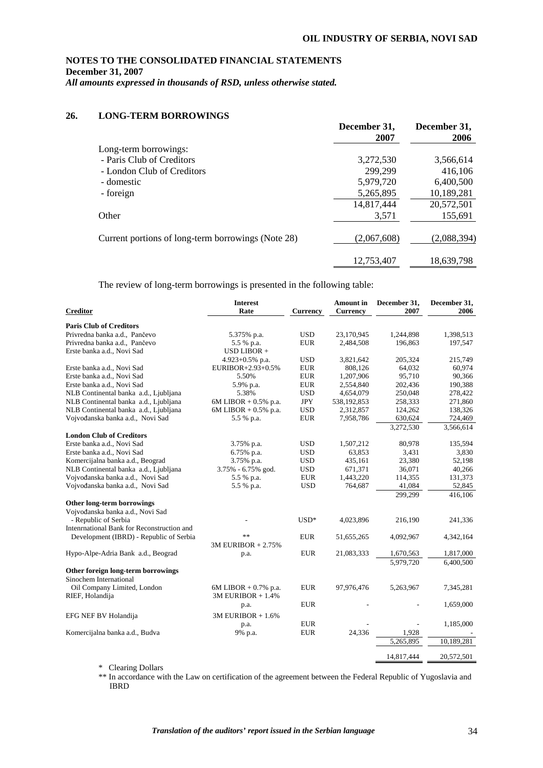# **NOTES TO THE CONSOLIDATED FINANCIAL STATEMENTS December 31, 2007**

*All amounts expressed in thousands of RSD, unless otherwise stated.* 

## **26. LONG-TERM BORROWINGS**

|                                                    | December 31,<br>2007 | December 31,<br>2006 |
|----------------------------------------------------|----------------------|----------------------|
| Long-term borrowings:                              |                      |                      |
| - Paris Club of Creditors                          | 3,272,530            | 3,566,614            |
| - London Club of Creditors                         | 299,299              | 416,106              |
| - domestic                                         | 5,979,720            | 6,400,500            |
| - foreign                                          | 5,265,895            | 10,189,281           |
|                                                    | 14,817,444           | 20,572,501           |
| Other                                              | 3,571                | 155,691              |
| Current portions of long-term borrowings (Note 28) | (2,067,608)          | (2,088,394)          |
|                                                    | 12,753,407           | 18,639,798           |

The review of long-term borrowings is presented in the following table:

| <b>Creditor</b>                            | <b>Interest</b><br>Rate | <b>Currency</b> | <b>Amount</b> in<br><b>Currency</b> | December 31,<br>2007 | December 31,<br>2006 |
|--------------------------------------------|-------------------------|-----------------|-------------------------------------|----------------------|----------------------|
| <b>Paris Club of Creditors</b>             |                         |                 |                                     |                      |                      |
| Privredna banka a.d., Pančevo              | 5.375% p.a.             | <b>USD</b>      | 23,170,945                          | 1,244,898            | 1,398,513            |
| Privredna banka a.d., Pančevo              | 5.5 % p.a.              | <b>EUR</b>      | 2,484,508                           | 196,863              | 197,547              |
| Erste banka a.d., Novi Sad                 | USD LIBOR $\pm$         |                 |                                     |                      |                      |
|                                            | 4.923+0.5% p.a.         | <b>USD</b>      | 3,821,642                           | 205,324              | 215,749              |
| Erste banka a.d., Novi Sad                 | EURIBOR+2.93+0.5%       | <b>EUR</b>      | 808,126                             | 64,032               | 60,974               |
| Erste banka a.d., Novi Sad                 | 5.50%                   | <b>EUR</b>      | 1,207,906                           | 95,710               | 90,366               |
| Erste banka a.d., Novi Sad                 | 5.9% p.a.               | <b>EUR</b>      | 2,554,840                           | 202,436              | 190,388              |
| NLB Continental banka a.d., Ljubljana      | 5.38%                   | <b>USD</b>      | 4,654,079                           | 250,048              | 278,422              |
| NLB Continental banka a.d., Ljubljana      | $6M$ LIBOR + 0.5% p.a.  | <b>JPY</b>      | 538,192,853                         | 258,333              | 271,860              |
| NLB Continental banka a.d., Ljubljana      | $6M$ LIBOR + 0.5% p.a.  | <b>USD</b>      | 2,312,857                           | 124,262              | 138,326              |
| Vojvođanska banka a.d., Novi Sad           | 5.5 % p.a.              | <b>EUR</b>      | 7,958,786                           | 630,624              | 724,469              |
|                                            |                         |                 |                                     | 3,272,530            | 3,566,614            |
| <b>London Club of Creditors</b>            |                         |                 |                                     |                      |                      |
| Erste banka a.d., Novi Sad                 | 3.75% p.a.              | <b>USD</b>      | 1,507,212                           | 80,978               | 135,594              |
| Erste banka a.d., Novi Sad                 | 6.75% p.a.              | <b>USD</b>      | 63,853                              | 3,431                | 3,830                |
| Komercijalna banka a.d., Beograd           | 3.75% p.a.              | <b>USD</b>      | 435,161                             | 23,380               | 52,198               |
| NLB Continental banka a.d., Ljubljana      | 3.75% - 6.75% god.      | <b>USD</b>      | 671,371                             | 36,071               | 40,266               |
| Vojvođanska banka a.d., Novi Sad           | 5.5 % p.a.              | <b>EUR</b>      | 1,443,220                           | 114,355              | 131,373              |
| Vojvođanska banka a.d., Novi Sad           | 5.5 % p.a.              | <b>USD</b>      | 764,687                             | 41,084               | 52,845               |
|                                            |                         |                 |                                     | 299,299              | 416,106              |
| Other long-term borrowings                 |                         |                 |                                     |                      |                      |
| Vojvođanska banka a.d., Novi Sad           |                         |                 |                                     |                      |                      |
| - Republic of Serbia                       |                         | $USD*$          | 4,023,896                           | 216,190              | 241,336              |
| Intenrnational Bank for Reconstruction and |                         |                 |                                     |                      |                      |
| Development (IBRD) - Republic of Serbia    | **                      | <b>EUR</b>      | 51,655,265                          | 4,092,967            | 4,342,164            |
|                                            | 3M EURIBOR + 2.75%      |                 |                                     |                      |                      |
| Hypo-Alpe-Adria Bank a.d., Beograd         | p.a.                    | <b>EUR</b>      | 21,083,333                          | 1,670,563            | 1,817,000            |
|                                            |                         |                 |                                     | 5.979.720            | 6,400,500            |
| Other foreign long-term borrowings         |                         |                 |                                     |                      |                      |
| Sinochem International                     |                         |                 |                                     |                      |                      |
| Oil Company Limited, London                | $6M$ LIBOR + 0.7% p.a.  | <b>EUR</b>      | 97,976,476                          | 5,263,967            | 7,345,281            |
| RIEF, Holandija                            | $3M$ EURIBOR + $1.4%$   |                 |                                     |                      |                      |
|                                            | p.a.                    | <b>EUR</b>      |                                     |                      | 1,659,000            |
| EFG NEF BV Holandija                       | $3M$ EURIBOR + $1.6\%$  |                 |                                     |                      |                      |
|                                            | p.a.                    | <b>EUR</b>      |                                     |                      | 1,185,000            |
| Komercijalna banka a.d., Budva             | 9% p.a.                 | <b>EUR</b>      | 24,336                              | 1,928                |                      |
|                                            |                         |                 |                                     | 5,265,895            | 10,189,281           |
|                                            |                         |                 |                                     |                      |                      |
|                                            |                         |                 |                                     | 14,817,444           | 20,572,501           |

\* Clearing Dollars

\*\* In accordance with the Law on certification of the agreement between the Federal Republic of Yugoslavia and IBRD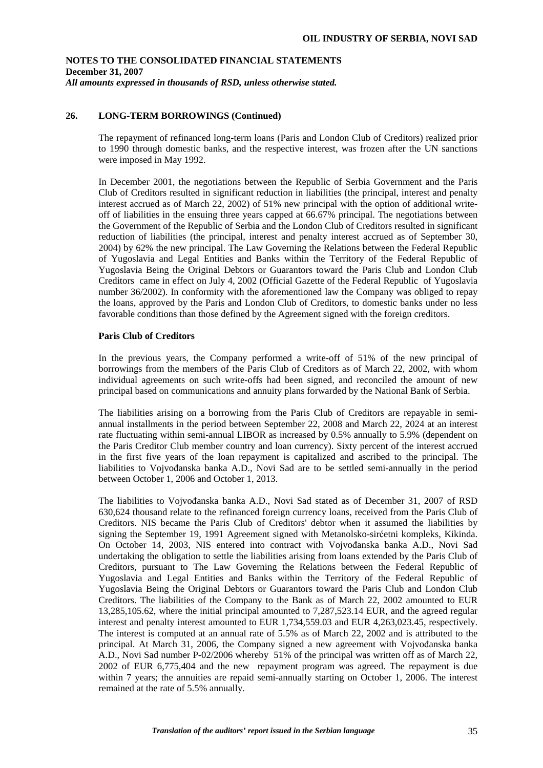## **26. LONG-TERM BORROWINGS (Continued)**

The repayment of refinanced long-term loans (Paris and London Club of Creditors) realized prior to 1990 through domestic banks, and the respective interest, was frozen after the UN sanctions were imposed in May 1992.

 In December 2001, the negotiations between the Republic of Serbia Government and the Paris Club of Creditors resulted in significant reduction in liabilities (the principal, interest and penalty interest accrued as of March 22, 2002) of 51% new principal with the option of additional writeoff of liabilities in the ensuing three years capped at 66.67% principal. The negotiations between the Government of the Republic of Serbia and the London Club of Creditors resulted in significant reduction of liabilities (the principal, interest and penalty interest accrued as of September 30, 2004) by 62% the new principal. The Law Governing the Relations between the Federal Republic of Yugoslavia and Legal Entities and Banks within the Territory of the Federal Republic of Yugoslavia Being the Original Debtors or Guarantors toward the Paris Club and London Club Creditors came in effect on July 4, 2002 (Official Gazette of the Federal Republic of Yugoslavia number 36/2002). In conformity with the aforementioned law the Company was obliged to repay the loans, approved by the Paris and London Club of Creditors, to domestic banks under no less favorable conditions than those defined by the Agreement signed with the foreign creditors.

### **Paris Club of Creditors**

 In the previous years, the Company performed a write-off of 51% of the new principal of borrowings from the members of the Paris Club of Creditors as of March 22, 2002, with whom individual agreements on such write-offs had been signed, and reconciled the amount of new principal based on communications and annuity plans forwarded by the National Bank of Serbia.

The liabilities arising on a borrowing from the Paris Club of Creditors are repayable in semiannual installments in the period between September 22, 2008 and March 22, 2024 at an interest rate fluctuating within semi-annual LIBOR as increased by 0.5% annually to 5.9% (dependent on the Paris Creditor Club member country and loan currency). Sixty percent of the interest accrued in the first five years of the loan repayment is capitalized and ascribed to the principal. The liabilities to Vojvoñanska banka A.D., Novi Sad are to be settled semi-annually in the period between October 1, 2006 and October 1, 2013.

The liabilities to Vojvoñanska banka A.D., Novi Sad stated as of December 31, 2007 of RSD 630,624 thousand relate to the refinanced foreign currency loans, received from the Paris Club of Creditors. NIS became the Paris Club of Creditors' debtor when it assumed the liabilities by signing the September 19, 1991 Agreement signed with Metanolsko-sirćetni kompleks, Kikinda. On October 14, 2003, NIS entered into contract with Vojvoñanska banka A.D., Novi Sad undertaking the obligation to settle the liabilities arising from loans extended by the Paris Club of Creditors, pursuant to The Law Governing the Relations between the Federal Republic of Yugoslavia and Legal Entities and Banks within the Territory of the Federal Republic of Yugoslavia Being the Original Debtors or Guarantors toward the Paris Club and London Club Creditors. The liabilities of the Company to the Bank as of March 22, 2002 amounted to EUR 13,285,105.62, where the initial principal amounted to 7,287,523.14 EUR, and the agreed regular interest and penalty interest amounted to EUR 1,734,559.03 and EUR 4,263,023.45, respectively. The interest is computed at an annual rate of 5.5% as of March 22, 2002 and is attributed to the principal. At March 31, 2006, the Company signed a new agreement with Vojvođanska banka A.D., Novi Sad number P-02/2006 whereby 51% of the principal was written off as of March 22, 2002 of EUR 6,775,404 and the new repayment program was agreed. The repayment is due within 7 years; the annuities are repaid semi-annually starting on October 1, 2006. The interest remained at the rate of 5.5% annually.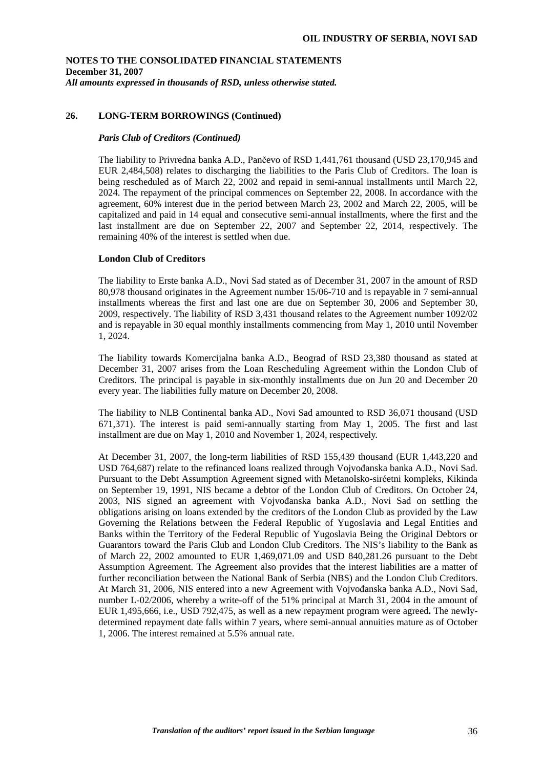## **26. LONG-TERM BORROWINGS (Continued)**

#### *Paris Club of Creditors (Continued)*

The liability to Privredna banka A.D., Pančevo of RSD 1,441,761 thousand (USD 23,170,945 and EUR 2,484,508) relates to discharging the liabilities to the Paris Club of Creditors. The loan is being rescheduled as of March 22, 2002 and repaid in semi-annual installments until March 22, 2024. The repayment of the principal commences on September 22, 2008. In accordance with the agreement, 60% interest due in the period between March 23, 2002 and March 22, 2005, will be capitalized and paid in 14 equal and consecutive semi-annual installments, where the first and the last installment are due on September 22, 2007 and September 22, 2014, respectively. The remaining 40% of the interest is settled when due.

### **London Club of Creditors**

The liability to Erste banka A.D., Novi Sad stated as of December 31, 2007 in the amount of RSD 80,978 thousand originates in the Agreement number 15/06-710 and is repayable in 7 semi-annual installments whereas the first and last one are due on September 30, 2006 and September 30, 2009, respectively. The liability of RSD 3,431 thousand relates to the Agreement number 1092/02 and is repayable in 30 equal monthly installments commencing from May 1, 2010 until November 1, 2024.

The liability towards Komercijalna banka A.D., Beograd of RSD 23,380 thousand as stated at December 31, 2007 arises from the Loan Rescheduling Agreement within the London Club of Creditors. The principal is payable in six-monthly installments due on Jun 20 and December 20 every year. The liabilities fully mature on December 20, 2008.

The liability to NLB Continental banka AD., Novi Sad amounted to RSD 36,071 thousand (USD 671,371). The interest is paid semi-annually starting from May 1, 2005. The first and last installment are due on May 1, 2010 and November 1, 2024, respectively.

At December 31, 2007, the long-term liabilities of RSD 155,439 thousand (EUR 1,443,220 and USD 764,687) relate to the refinanced loans realized through Vojvođanska banka A.D., Novi Sad. Pursuant to the Debt Assumption Agreement signed with Metanolsko-sirćetni kompleks, Kikinda on September 19, 1991, NIS became a debtor of the London Club of Creditors. On October 24, 2003, NIS signed an agreement with Vojvoñanska banka A.D., Novi Sad on settling the obligations arising on loans extended by the creditors of the London Club as provided by the Law Governing the Relations between the Federal Republic of Yugoslavia and Legal Entities and Banks within the Territory of the Federal Republic of Yugoslavia Being the Original Debtors or Guarantors toward the Paris Club and London Club Creditors. The NIS's liability to the Bank as of March 22, 2002 amounted to EUR 1,469,071.09 and USD 840,281.26 pursuant to the Debt Assumption Agreement. The Agreement also provides that the interest liabilities are a matter of further reconciliation between the National Bank of Serbia (NBS) and the London Club Creditors. At March 31, 2006, NIS entered into a new Agreement with Vojvođanska banka A.D., Novi Sad, number L-02/2006, whereby a write-off of the 51% principal at March 31, 2004 in the amount of EUR 1,495,666, i.e., USD 792,475, as well as a new repayment program were agreed**.** The newlydetermined repayment date falls within 7 years, where semi-annual annuities mature as of October 1, 2006. The interest remained at 5.5% annual rate.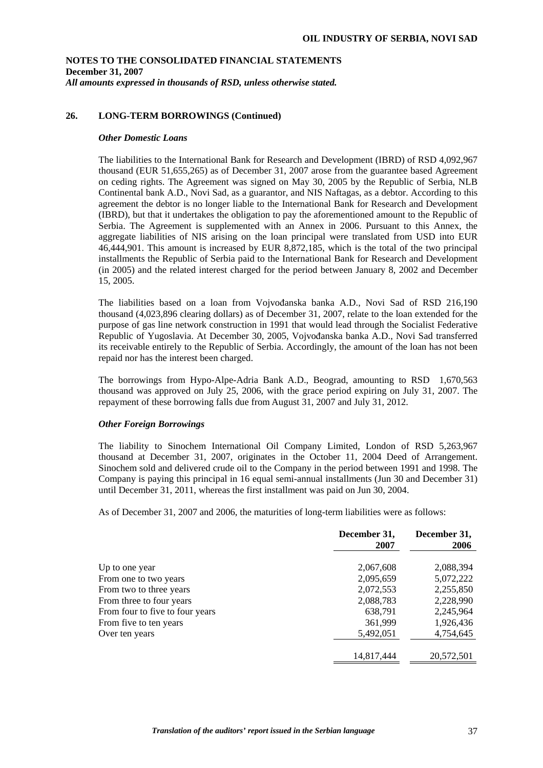## **26. LONG-TERM BORROWINGS (Continued)**

#### *Other Domestic Loans*

The liabilities to the International Bank for Research and Development (IBRD) of RSD 4,092,967 thousand (EUR 51,655,265) as of December 31, 2007 arose from the guarantee based Agreement on ceding rights. The Agreement was signed on May 30, 2005 by the Republic of Serbia, NLB Continental bank A.D., Novi Sad, as a guarantor, and NIS Naftagas, as a debtor. According to this agreement the debtor is no longer liable to the International Bank for Research and Development (IBRD), but that it undertakes the obligation to pay the aforementioned amount to the Republic of Serbia. The Agreement is supplemented with an Annex in 2006. Pursuant to this Annex, the aggregate liabilities of NIS arising on the loan principal were translated from USD into EUR 46,444,901. This amount is increased by EUR 8,872,185, which is the total of the two principal installments the Republic of Serbia paid to the International Bank for Research and Development (in 2005) and the related interest charged for the period between January 8, 2002 and December 15, 2005.

The liabilities based on a loan from Vojvođanska banka A.D., Novi Sad of RSD 216,190 thousand (4,023,896 clearing dollars) as of December 31, 2007, relate to the loan extended for the purpose of gas line network construction in 1991 that would lead through the Socialist Federative Republic of Yugoslavia. At December 30, 2005, Vojvoñanska banka A.D., Novi Sad transferred its receivable entirely to the Republic of Serbia. Accordingly, the amount of the loan has not been repaid nor has the interest been charged.

The borrowings from Hypo-Alpe-Adria Bank A.D., Beograd, amounting to RSD 1,670,563 thousand was approved on July 25, 2006, with the grace period expiring on July 31, 2007. The repayment of these borrowing falls due from August 31, 2007 and July 31, 2012.

### *Other Foreign Borrowings*

The liability to Sinochem International Oil Company Limited, London of RSD 5,263,967 thousand at December 31, 2007, originates in the October 11, 2004 Deed of Arrangement. Sinochem sold and delivered crude oil to the Company in the period between 1991 and 1998. The Company is paying this principal in 16 equal semi-annual installments (Jun 30 and December 31) until December 31, 2011, whereas the first installment was paid on Jun 30, 2004.

As of December 31, 2007 and 2006, the maturities of long-term liabilities were as follows:

|                                 | December 31,<br>2007 | December 31,<br>2006 |
|---------------------------------|----------------------|----------------------|
| Up to one year                  | 2,067,608            | 2,088,394            |
| From one to two years           | 2,095,659            | 5,072,222            |
| From two to three years         | 2,072,553            | 2,255,850            |
| From three to four years        | 2,088,783            | 2,228,990            |
| From four to five to four years | 638,791              | 2,245,964            |
| From five to ten years          | 361,999              | 1,926,436            |
| Over ten years                  | 5,492,051            | 4,754,645            |
|                                 | 14,817,444           | 20,572,501           |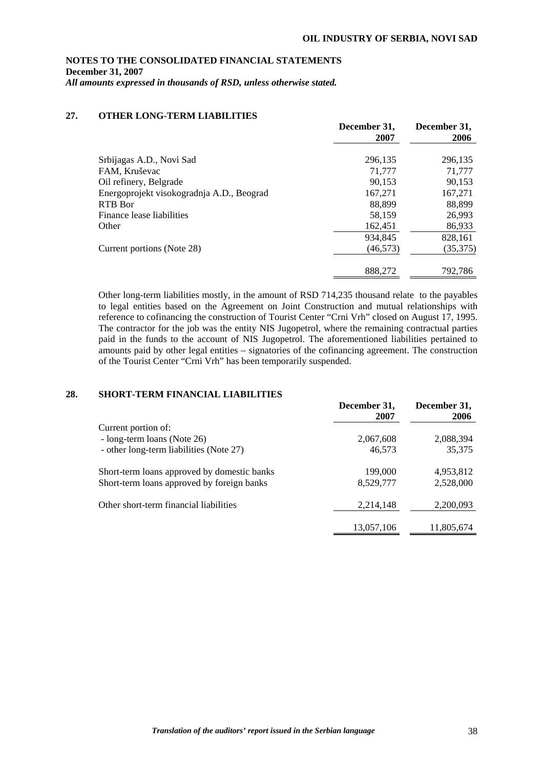## **27. OTHER LONG-TERM LIABILITIES**

|                                           | December 31,<br>2007 | December 31,<br>2006 |
|-------------------------------------------|----------------------|----------------------|
| Srbijagas A.D., Novi Sad                  | 296,135              | 296,135              |
| FAM, Kruševac                             | 71,777               | 71,777               |
| Oil refinery, Belgrade                    | 90,153               | 90,153               |
| Energoprojekt visokogradnja A.D., Beograd | 167,271              | 167,271              |
| RTB Bor                                   | 88,899               | 88,899               |
| Finance lease liabilities                 | 58,159               | 26,993               |
| Other                                     | 162,451              | 86,933               |
|                                           | 934,845              | 828,161              |
| Current portions (Note 28)                | (46, 573)            | (35,375)             |
|                                           | 888,272              | 792,786              |

Other long-term liabilities mostly, in the amount of RSD 714,235 thousand relate to the payables to legal entities based on the Agreement on Joint Construction and mutual relationships with reference to cofinancing the construction of Tourist Center "Crni Vrh" closed on August 17, 1995. The contractor for the job was the entity NIS Jugopetrol, where the remaining contractual parties paid in the funds to the account of NIS Jugopetrol. The aforementioned liabilities pertained to amounts paid by other legal entities – signatories of the cofinancing agreement. The construction of the Tourist Center "Crni Vrh" has been temporarily suspended.

## **28. SHORT-TERM FINANCIAL LIABILITIES**

|                                             | December 31,<br>2007 | December 31,<br><b>2006</b> |
|---------------------------------------------|----------------------|-----------------------------|
| Current portion of:                         |                      |                             |
| - long-term loans (Note 26)                 | 2,067,608            | 2,088,394                   |
| - other long-term liabilities (Note 27)     | 46,573               | 35,375                      |
| Short-term loans approved by domestic banks | 199,000              | 4,953,812                   |
| Short-term loans approved by foreign banks  | 8,529,777            | 2,528,000                   |
| Other short-term financial liabilities      | 2,214,148            | 2,200,093                   |
|                                             | 13,057,106           | 11,805,674                  |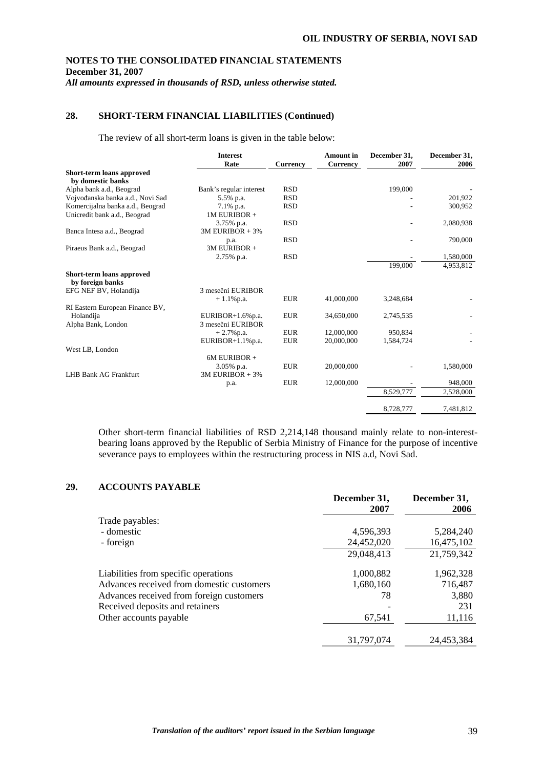## **28. SHORT-TERM FINANCIAL LIABILITIES (Continued)**

The review of all short-term loans is given in the table below:

|                                                | <b>Interest</b><br>Rate | <b>Currency</b> | <b>Amount</b> in<br>Currency | December 31,<br>2007 | December 31,<br>2006 |
|------------------------------------------------|-------------------------|-----------------|------------------------------|----------------------|----------------------|
| Short-term loans approved<br>by domestic banks |                         |                 |                              |                      |                      |
| Alpha bank a.d., Beograd                       | Bank's regular interest | <b>RSD</b>      |                              | 199,000              |                      |
| Vojvođanska banka a.d., Novi Sad               | 5.5% p.a.               | <b>RSD</b>      |                              |                      | 201,922              |
| Komercijalna banka a.d., Beograd               | 7.1% p.a.               | <b>RSD</b>      |                              |                      | 300,952              |
| Unicredit bank a.d., Beograd                   | 1M EURIBOR +            |                 |                              |                      |                      |
|                                                | 3.75% p.a.              | <b>RSD</b>      |                              |                      | 2,080,938            |
| Banca Intesa a.d., Beograd                     | $3M$ EURIBOR + $3%$     |                 |                              |                      |                      |
|                                                | p.a.                    | <b>RSD</b>      |                              |                      | 790,000              |
| Piraeus Bank a.d., Beograd                     | 3M EURIBOR +            |                 |                              |                      |                      |
|                                                | 2.75% p.a.              | <b>RSD</b>      |                              |                      | 1,580,000            |
|                                                |                         |                 |                              | 199,000              | 4,953,812            |
| Short-term loans approved<br>by foreign banks  |                         |                 |                              |                      |                      |
| EFG NEF BV, Holandija                          | 3 mesečni EURIBOR       |                 |                              |                      |                      |
|                                                | $+1.1\%$ p.a.           | <b>EUR</b>      | 41,000,000                   | 3,248,684            |                      |
| RI Eastern European Finance BV,                |                         |                 |                              |                      |                      |
| Holandija                                      | EURIBOR $+1.6\%$ p.a.   | <b>EUR</b>      | 34,650,000                   | 2,745,535            |                      |
| Alpha Bank, London                             | 3 mesečni EURIBOR       |                 |                              |                      |                      |
|                                                | $+2.7\%$ p.a.           | <b>EUR</b>      | 12,000,000                   | 950,834              |                      |
|                                                | EURIBOR+1.1%p.a.        | <b>EUR</b>      | 20,000,000                   | 1,584,724            |                      |
| West LB, London                                |                         |                 |                              |                      |                      |
|                                                | 6M EURIBOR +            |                 |                              |                      |                      |
|                                                | 3.05% p.a.              | <b>EUR</b>      | 20,000,000                   |                      | 1,580,000            |
| <b>LHB Bank AG Frankfurt</b>                   | $3M$ EURIBOR + $3%$     |                 |                              |                      |                      |
|                                                | p.a.                    | <b>EUR</b>      | 12,000,000                   |                      | 948,000              |
|                                                |                         |                 |                              | 8,529,777            | 2,528,000            |
|                                                |                         |                 |                              | 8,728,777            | 7,481,812            |

Other short-term financial liabilities of RSD 2,214,148 thousand mainly relate to non-interestbearing loans approved by the Republic of Serbia Ministry of Finance for the purpose of incentive severance pays to employees within the restructuring process in NIS a.d, Novi Sad.

## **29. ACCOUNTS PAYABLE**

| 11000111011111111111                      | December 31,<br>2007 | December 31,<br>2006 |
|-------------------------------------------|----------------------|----------------------|
| Trade payables:                           |                      |                      |
| - domestic                                | 4,596,393            | 5,284,240            |
| - foreign                                 | 24,452,020           | 16,475,102           |
|                                           | 29,048,413           | 21,759,342           |
| Liabilities from specific operations      | 1,000,882            | 1,962,328            |
| Advances received from domestic customers | 1,680,160            | 716.487              |
| Advances received from foreign customers  | 78                   | 3,880                |
| Received deposits and retainers           |                      | 231                  |
| Other accounts payable                    | 67.541               | 11,116               |
|                                           | 31,797,074           | 24,453,384           |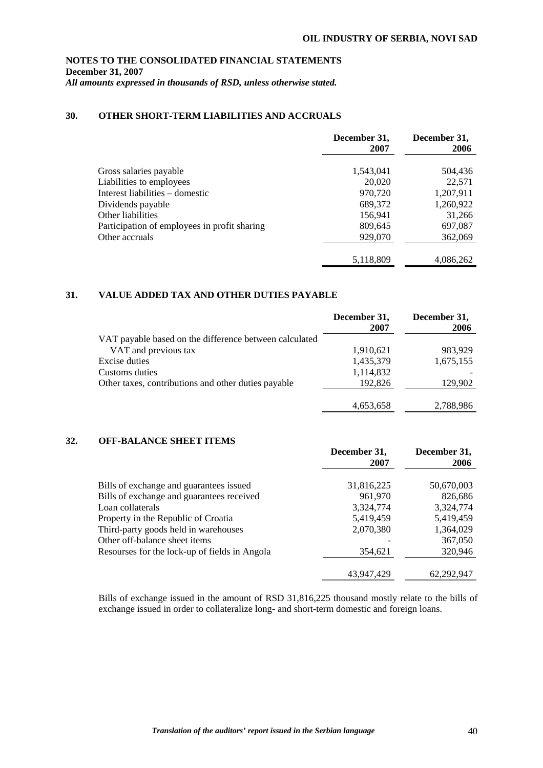# **NOTES TO THE CONSOLIDATED FINANCIAL STATEMENTS December 31, 2007**

*All amounts expressed in thousands of RSD, unless otherwise stated.* 

## **30. OTHER SHORT-TERM LIABILITIES AND ACCRUALS**

|                                              | December 31,<br>2007 | December 31,<br>2006 |
|----------------------------------------------|----------------------|----------------------|
| Gross salaries payable                       | 1,543,041            | 504,436              |
| Liabilities to employees                     | 20,020               | 22,571               |
| Interest liabilities – domestic              | 970,720              | 1,207,911            |
| Dividends payable                            | 689,372              | 1,260,922            |
| Other liabilities                            | 156,941              | 31,266               |
| Participation of employees in profit sharing | 809,645              | 697,087              |
| Other accruals                               | 929,070              | 362,069              |
|                                              |                      |                      |
|                                              | 5,118,809            | 4,086,262            |

## **31. VALUE ADDED TAX AND OTHER DUTIES PAYABLE**

|                                                        | December 31,<br>2007 | December 31,<br>2006 |
|--------------------------------------------------------|----------------------|----------------------|
| VAT payable based on the difference between calculated |                      |                      |
| VAT and previous tax                                   | 1,910,621            | 983,929              |
| Excise duties                                          | 1,435,379            | 1,675,155            |
| Customs duties                                         | 1,114,832            |                      |
| Other taxes, contributions and other duties payable    | 192,826              | 129,902              |
|                                                        | 4,653,658            | 2,788,986            |

## **32. OFF-BALANCE SHEET ITEMS**

|                                               | December 31,<br>2007 | December 31,<br>2006 |
|-----------------------------------------------|----------------------|----------------------|
| Bills of exchange and guarantees issued       | 31,816,225           | 50,670,003           |
| Bills of exchange and guarantees received     | 961,970              | 826,686              |
| Loan collaterals                              | 3,324,774            | 3,324,774            |
| Property in the Republic of Croatia           | 5,419,459            | 5,419,459            |
| Third-party goods held in warehouses          | 2,070,380            | 1,364,029            |
| Other off-balance sheet items                 |                      | 367,050              |
| Resourses for the lock-up of fields in Angola | 354,621              | 320,946              |
|                                               |                      |                      |
|                                               | 43.947.429           | 62,292,947           |

Bills of exchange issued in the amount of RSD 31,816,225 thousand mostly relate to the bills of exchange issued in order to collateralize long- and short-term domestic and foreign loans.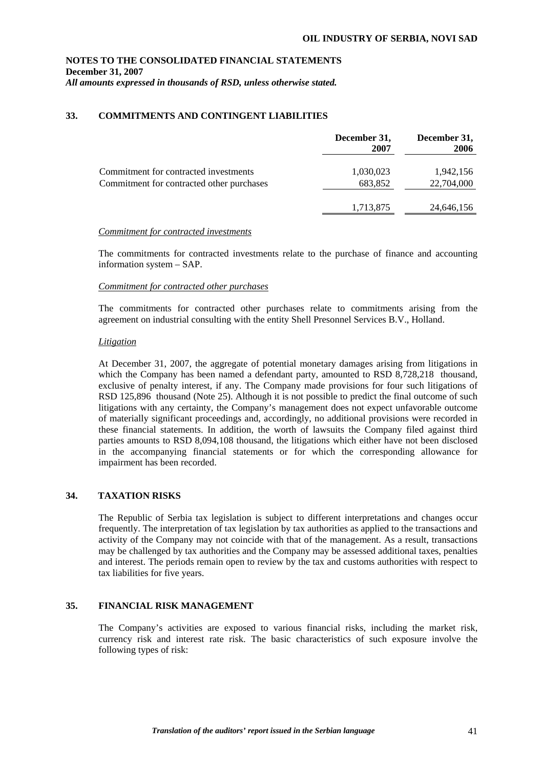# **NOTES TO THE CONSOLIDATED FINANCIAL STATEMENTS December 31, 2007**

*All amounts expressed in thousands of RSD, unless otherwise stated.* 

## **33. COMMITMENTS AND CONTINGENT LIABILITIES**

|                                                                                    | December 31,<br>2007 | December 31,<br>2006    |
|------------------------------------------------------------------------------------|----------------------|-------------------------|
| Commitment for contracted investments<br>Commitment for contracted other purchases | 1,030,023<br>683,852 | 1,942,156<br>22,704,000 |
|                                                                                    | 1,713,875            | 24,646,156              |

### *Commitment for contracted investments*

The commitments for contracted investments relate to the purchase of finance and accounting information system – SAP.

## *Commitment for contracted other purchases*

The commitments for contracted other purchases relate to commitments arising from the agreement on industrial consulting with the entity Shell Presonnel Services B.V., Holland.

## *Litigation*

At December 31, 2007, the aggregate of potential monetary damages arising from litigations in which the Company has been named a defendant party, amounted to RSD 8,728,218 thousand, exclusive of penalty interest, if any. The Company made provisions for four such litigations of RSD 125,896 thousand (Note 25). Although it is not possible to predict the final outcome of such litigations with any certainty, the Company's management does not expect unfavorable outcome of materially significant proceedings and, accordingly, no additional provisions were recorded in these financial statements. In addition, the worth of lawsuits the Company filed against third parties amounts to RSD 8,094,108 thousand, the litigations which either have not been disclosed in the accompanying financial statements or for which the corresponding allowance for impairment has been recorded.

## **34. TAXATION RISKS**

 The Republic of Serbia tax legislation is subject to different interpretations and changes occur frequently. The interpretation of tax legislation by tax authorities as applied to the transactions and activity of the Company may not coincide with that of the management. As a result, transactions may be challenged by tax authorities and the Company may be assessed additional taxes, penalties and interest. The periods remain open to review by the tax and customs authorities with respect to tax liabilities for five years.

## **35. FINANCIAL RISK MANAGEMENT**

The Company's activities are exposed to various financial risks, including the market risk, currency risk and interest rate risk. The basic characteristics of such exposure involve the following types of risk: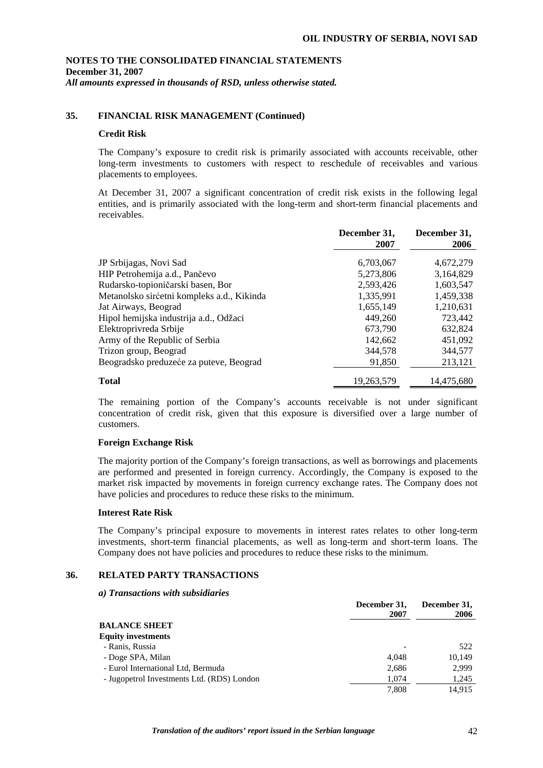## **35. FINANCIAL RISK MANAGEMENT (Continued)**

### **Credit Risk**

The Company's exposure to credit risk is primarily associated with accounts receivable, other long-term investments to customers with respect to reschedule of receivables and various placements to employees.

At December 31, 2007 a significant concentration of credit risk exists in the following legal entities, and is primarily associated with the long-term and short-term financial placements and receivables.

|                                            | December 31,<br>2007 | December 31,<br>2006 |
|--------------------------------------------|----------------------|----------------------|
| JP Srbijagas, Novi Sad                     | 6,703,067            | 4,672,279            |
| HIP Petrohemija a.d., Pančevo              | 5,273,806            | 3,164,829            |
| Rudarsko-topioničarski basen, Bor          | 2,593,426            | 1,603,547            |
| Metanolsko sirćetni kompleks a.d., Kikinda | 1,335,991            | 1,459,338            |
| Jat Airways, Beograd                       | 1,655,149            | 1,210,631            |
| Hipol hemijska industrija a.d., Odžaci     | 449.260              | 723,442              |
| Elektroprivreda Srbije                     | 673,790              | 632,824              |
| Army of the Republic of Serbia             | 142,662              | 451,092              |
| Trizon group, Beograd                      | 344,578              | 344,577              |
| Beogradsko preduzeće za puteve, Beograd    | 91,850               | 213,121              |
| <b>Total</b>                               | 19,263,579           | 14,475,680           |

The remaining portion of the Company's accounts receivable is not under significant concentration of credit risk, given that this exposure is diversified over a large number of customers.

### **Foreign Exchange Risk**

The majority portion of the Company's foreign transactions, as well as borrowings and placements are performed and presented in foreign currency. Accordingly, the Company is exposed to the market risk impacted by movements in foreign currency exchange rates. The Company does not have policies and procedures to reduce these risks to the minimum.

### **Interest Rate Risk**

The Company's principal exposure to movements in interest rates relates to other long-term investments, short-term financial placements, as well as long-term and short-term loans. The Company does not have policies and procedures to reduce these risks to the minimum.

## **36. RELATED PARTY TRANSACTIONS**

*a) Transactions with subsidiaries* 

|                                            | December 31,<br>2007 | December 31,<br>2006 |
|--------------------------------------------|----------------------|----------------------|
| <b>BALANCE SHEET</b>                       |                      |                      |
| <b>Equity investments</b>                  |                      |                      |
| - Ranis, Russia                            |                      | 522                  |
| - Doge SPA, Milan                          | 4.048                | 10.149               |
| - Eurol International Ltd, Bermuda         | 2,686                | 2,999                |
| - Jugopetrol Investments Ltd. (RDS) London | 1.074                | 1,245                |
|                                            | 7.808                | 14.915               |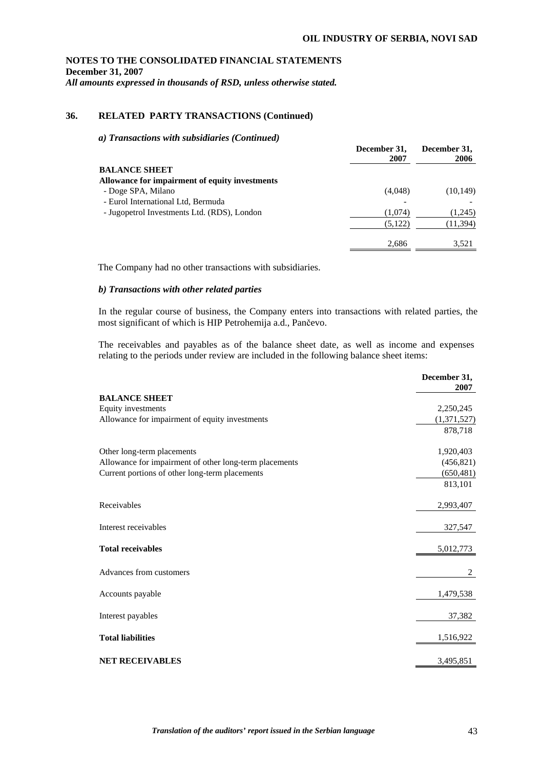## **36. RELATED PARTY TRANSACTIONS (Continued)**

*a) Transactions with subsidiaries (Continued)* 

| December 31,<br>2007 | December 31,<br>2006 |
|----------------------|----------------------|
|                      |                      |
|                      |                      |
| (4,048)              | (10, 149)            |
|                      |                      |
| (1.074)              | (1,245)              |
| (5,122)              | (11, 394)            |
| 2,686                | 3,521                |
|                      |                      |

The Company had no other transactions with subsidiaries.

### *b) Transactions with other related parties*

In the regular course of business, the Company enters into transactions with related parties, the most significant of which is HIP Petrohemija a.d., Pančevo.

The receivables and payables as of the balance sheet date, as well as income and expenses relating to the periods under review are included in the following balance sheet items:

|                                                        | December 31,<br>2007 |
|--------------------------------------------------------|----------------------|
| <b>BALANCE SHEET</b>                                   |                      |
| Equity investments                                     | 2,250,245            |
| Allowance for impairment of equity investments         | (1,371,527)          |
|                                                        | 878,718              |
| Other long-term placements                             | 1,920,403            |
| Allowance for impairment of other long-term placements | (456, 821)           |
| Current portions of other long-term placements         | (650, 481)           |
|                                                        | 813,101              |
| Receivables                                            | 2,993,407            |
| Interest receivables                                   | 327,547              |
| <b>Total receivables</b>                               | 5,012,773            |
| Advances from customers                                | 2                    |
| Accounts payable                                       | 1,479,538            |
| Interest payables                                      | 37,382               |
| <b>Total liabilities</b>                               | 1,516,922            |
| <b>NET RECEIVABLES</b>                                 | 3,495,851            |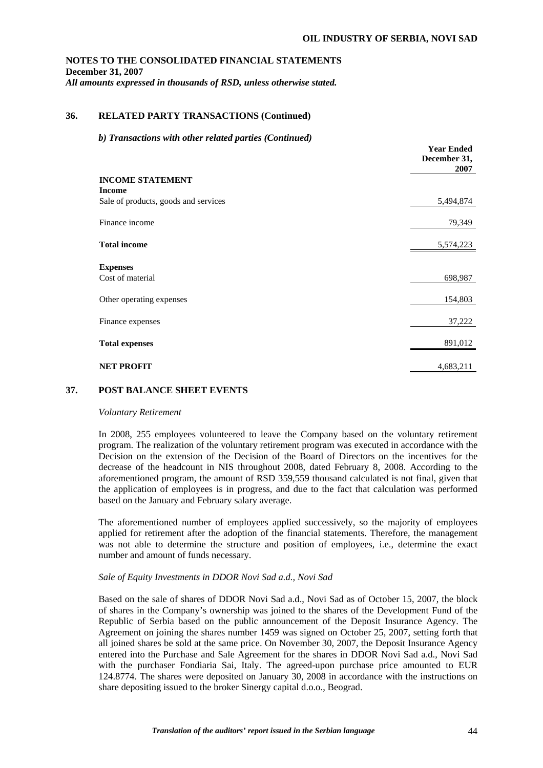**Year Ended** 

## **NOTES TO THE CONSOLIDATED FINANCIAL STATEMENTS December 31, 2007**  *All amounts expressed in thousands of RSD, unless otherwise stated.*

## **36. RELATED PARTY TRANSACTIONS (Continued)**

#### *b) Transactions with other related parties (Continued)*

|                                      | теат еписи<br>December 31,<br>2007 |
|--------------------------------------|------------------------------------|
| <b>INCOME STATEMENT</b>              |                                    |
| <b>Income</b>                        |                                    |
| Sale of products, goods and services | 5,494,874                          |
| Finance income                       | 79,349                             |
| <b>Total income</b>                  | 5,574,223                          |
| <b>Expenses</b>                      |                                    |
| Cost of material                     | 698,987                            |
| Other operating expenses             | 154,803                            |
| Finance expenses                     | 37,222                             |
| <b>Total expenses</b>                | 891,012                            |
| <b>NET PROFIT</b>                    | 4,683,211                          |

### **37. POST BALANCE SHEET EVENTS**

#### *Voluntary Retirement*

In 2008, 255 employees volunteered to leave the Company based on the voluntary retirement program. The realization of the voluntary retirement program was executed in accordance with the Decision on the extension of the Decision of the Board of Directors on the incentives for the decrease of the headcount in NIS throughout 2008, dated February 8, 2008. According to the aforementioned program, the amount of RSD 359,559 thousand calculated is not final, given that the application of employees is in progress, and due to the fact that calculation was performed based on the January and February salary average.

The aforementioned number of employees applied successively, so the majority of employees applied for retirement after the adoption of the financial statements. Therefore, the management was not able to determine the structure and position of employees, i.e., determine the exact number and amount of funds necessary.

### *Sale of Equity Investments in DDOR Novi Sad a.d., Novi Sad*

Based on the sale of shares of DDOR Novi Sad a.d., Novi Sad as of October 15, 2007, the block of shares in the Company's ownership was joined to the shares of the Development Fund of the Republic of Serbia based on the public announcement of the Deposit Insurance Agency. The Agreement on joining the shares number 1459 was signed on October 25, 2007, setting forth that all joined shares be sold at the same price. On November 30, 2007, the Deposit Insurance Agency entered into the Purchase and Sale Agreement for the shares in DDOR Novi Sad a.d., Novi Sad with the purchaser Fondiaria Sai, Italy. The agreed-upon purchase price amounted to EUR 124.8774. The shares were deposited on January 30, 2008 in accordance with the instructions on share depositing issued to the broker Sinergy capital d.o.o., Beograd.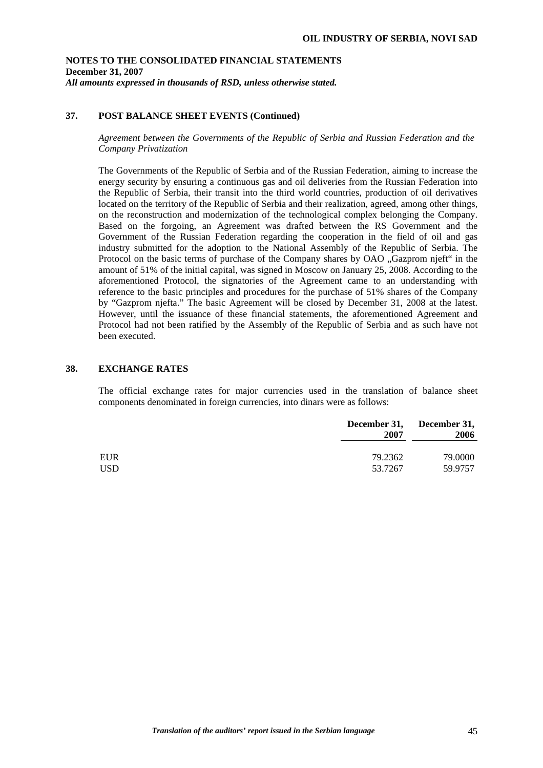## **37. POST BALANCE SHEET EVENTS (Continued)**

*Agreement between the Governments of the Republic of Serbia and Russian Federation and the Company Privatization* 

The Governments of the Republic of Serbia and of the Russian Federation, aiming to increase the energy security by ensuring a continuous gas and oil deliveries from the Russian Federation into the Republic of Serbia, their transit into the third world countries, production of oil derivatives located on the territory of the Republic of Serbia and their realization, agreed, among other things, on the reconstruction and modernization of the technological complex belonging the Company. Based on the forgoing, an Agreement was drafted between the RS Government and the Government of the Russian Federation regarding the cooperation in the field of oil and gas industry submitted for the adoption to the National Assembly of the Republic of Serbia. The Protocol on the basic terms of purchase of the Company shares by OAO . Gazprom njeft" in the amount of 51% of the initial capital, was signed in Moscow on January 25, 2008. According to the aforementioned Protocol, the signatories of the Agreement came to an understanding with reference to the basic principles and procedures for the purchase of 51% shares of the Company by "Gazprom njefta." The basic Agreement will be closed by December 31, 2008 at the latest. However, until the issuance of these financial statements, the aforementioned Agreement and Protocol had not been ratified by the Assembly of the Republic of Serbia and as such have not been executed.

#### **38. EXCHANGE RATES**

The official exchange rates for major currencies used in the translation of balance sheet components denominated in foreign currencies, into dinars were as follows:

|            | December 31,<br>2007 | December 31,<br>2006 |
|------------|----------------------|----------------------|
| <b>EUR</b> | 79.2362              | 79.0000              |
| <b>USD</b> | 53.7267              | 59.9757              |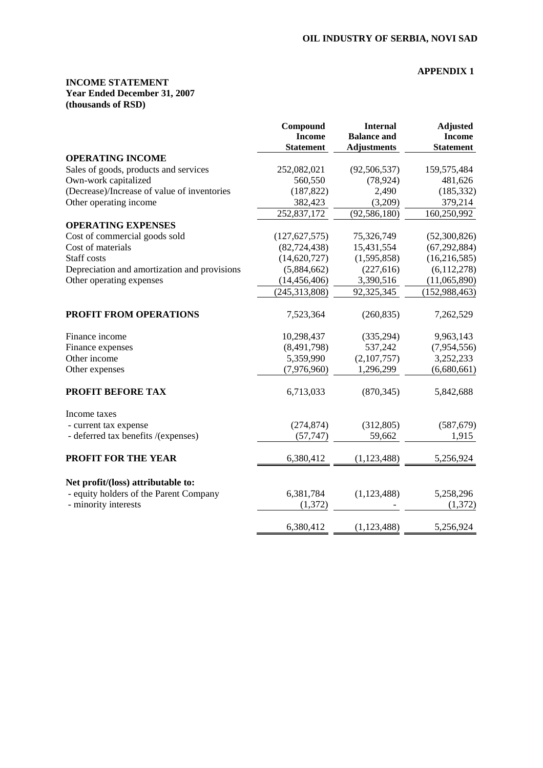## **APPENDIX 1**

## **INCOME STATEMENT Year Ended December 31, 2007 (thousands of RSD)**

|                                              | Compound<br><b>Income</b><br><b>Statement</b> | <b>Internal</b><br><b>Balance and</b><br><b>Adjustments</b> | <b>Adjusted</b><br><b>Income</b><br><b>Statement</b> |
|----------------------------------------------|-----------------------------------------------|-------------------------------------------------------------|------------------------------------------------------|
| <b>OPERATING INCOME</b>                      |                                               |                                                             |                                                      |
| Sales of goods, products and services        | 252,082,021                                   | (92, 506, 537)                                              | 159,575,484                                          |
| Own-work capitalized                         | 560,550                                       | (78, 924)                                                   | 481,626                                              |
| (Decrease)/Increase of value of inventories  | (187, 822)                                    | 2,490                                                       | (185, 332)                                           |
| Other operating income                       | 382,423                                       | (3,209)                                                     | 379,214                                              |
|                                              | 252,837,172                                   | (92, 586, 180)                                              | 160,250,992                                          |
| <b>OPERATING EXPENSES</b>                    |                                               |                                                             |                                                      |
| Cost of commercial goods sold                | (127, 627, 575)                               | 75,326,749                                                  | (52,300,826)                                         |
| Cost of materials                            | (82, 724, 438)                                | 15,431,554                                                  | (67, 292, 884)                                       |
| Staff costs                                  | (14, 620, 727)                                | (1,595,858)                                                 | (16, 216, 585)                                       |
| Depreciation and amortization and provisions | (5,884,662)                                   | (227, 616)                                                  | (6,112,278)                                          |
| Other operating expenses                     | (14, 456, 406)                                | 3,390,516                                                   | (11,065,890)                                         |
|                                              | (245, 313, 808)                               | 92,325,345                                                  | (152, 988, 463)                                      |
| PROFIT FROM OPERATIONS                       | 7,523,364                                     | (260, 835)                                                  | 7,262,529                                            |
| Finance income                               | 10,298,437                                    | (335, 294)                                                  | 9,963,143                                            |
| Finance expenses                             | (8,491,798)                                   | 537,242                                                     | (7,954,556)                                          |
| Other income                                 | 5,359,990                                     | (2,107,757)                                                 | 3,252,233                                            |
| Other expenses                               | (7,976,960)                                   | 1,296,299                                                   | (6,680,661)                                          |
| PROFIT BEFORE TAX                            | 6,713,033                                     | (870, 345)                                                  | 5,842,688                                            |
| Income taxes                                 |                                               |                                                             |                                                      |
| - current tax expense                        | (274, 874)                                    | (312, 805)                                                  | (587, 679)                                           |
| - deferred tax benefits /(expenses)          | (57, 747)                                     | 59,662                                                      | 1,915                                                |
| <b>PROFIT FOR THE YEAR</b>                   | 6,380,412                                     | (1, 123, 488)                                               | 5,256,924                                            |
| Net profit/(loss) attributable to:           |                                               |                                                             |                                                      |
| - equity holders of the Parent Company       | 6,381,784                                     | (1,123,488)                                                 | 5,258,296                                            |
| - minority interests                         | (1,372)                                       |                                                             | (1, 372)                                             |
|                                              | 6,380,412                                     | (1, 123, 488)                                               | 5,256,924                                            |